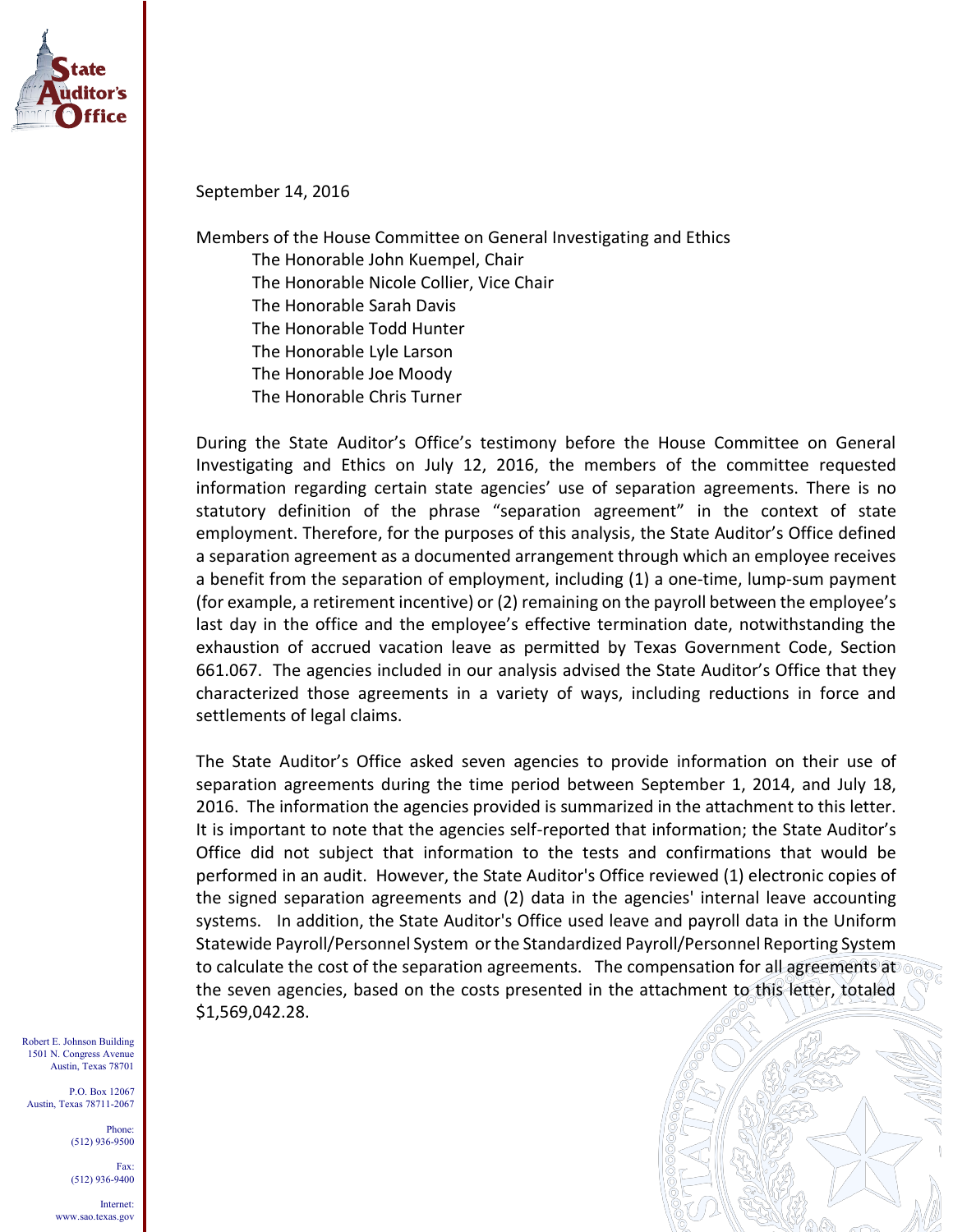

September 14, 2016

Members of the House Committee on General Investigating and Ethics The Honorable John Kuempel, Chair The Honorable Nicole Collier, Vice Chair The Honorable Sarah Davis The Honorable Todd Hunter The Honorable Lyle Larson The Honorable Joe Moody The Honorable Chris Turner

During the State Auditor's Office's testimony before the House Committee on General Investigating and Ethics on July 12, 2016, the members of the committee requested information regarding certain state agencies' use of separation agreements. There is no statutory definition of the phrase "separation agreement" in the context of state employment. Therefore, for the purposes of this analysis, the State Auditor's Office defined a separation agreement as a documented arrangement through which an employee receives a benefit from the separation of employment, including (1) a one-time, lump-sum payment (for example, a retirement incentive) or (2) remaining on the payroll between the employee's last day in the office and the employee's effective termination date, notwithstanding the exhaustion of accrued vacation leave as permitted by Texas Government Code, Section 661.067. The agencies included in our analysis advised the State Auditor's Office that they characterized those agreements in a variety of ways, including reductions in force and settlements of legal claims.

The State Auditor's Office asked seven agencies to provide information on their use of separation agreements during the time period between September 1, 2014, and July 18, 2016. The information the agencies provided is summarized in the attachment to this letter. It is important to note that the agencies self-reported that information; the State Auditor's Office did not subject that information to the tests and confirmations that would be performed in an audit. However, the State Auditor's Office reviewed (1) electronic copies of the signed separation agreements and (2) data in the agencies' internal leave accounting systems. In addition, the State Auditor's Office used leave and payroll data in the Uniform Statewide Payroll/Personnel System or the Standardized Payroll/Personnel Reporting System to calculate the cost of the separation agreements. The compensation for all agreements at the seven agencies, based on the costs presented in the attachment to this letter, totaled \$1,569,042.28.

Robert E. Johnson Building 1501 N. Congress Avenue Austin, Texas 78701

P.O. Box 12067 Austin, Texas 78711-2067

> Phone: (512) 936-9500

(512) 936-9400 Internet:

Fax:



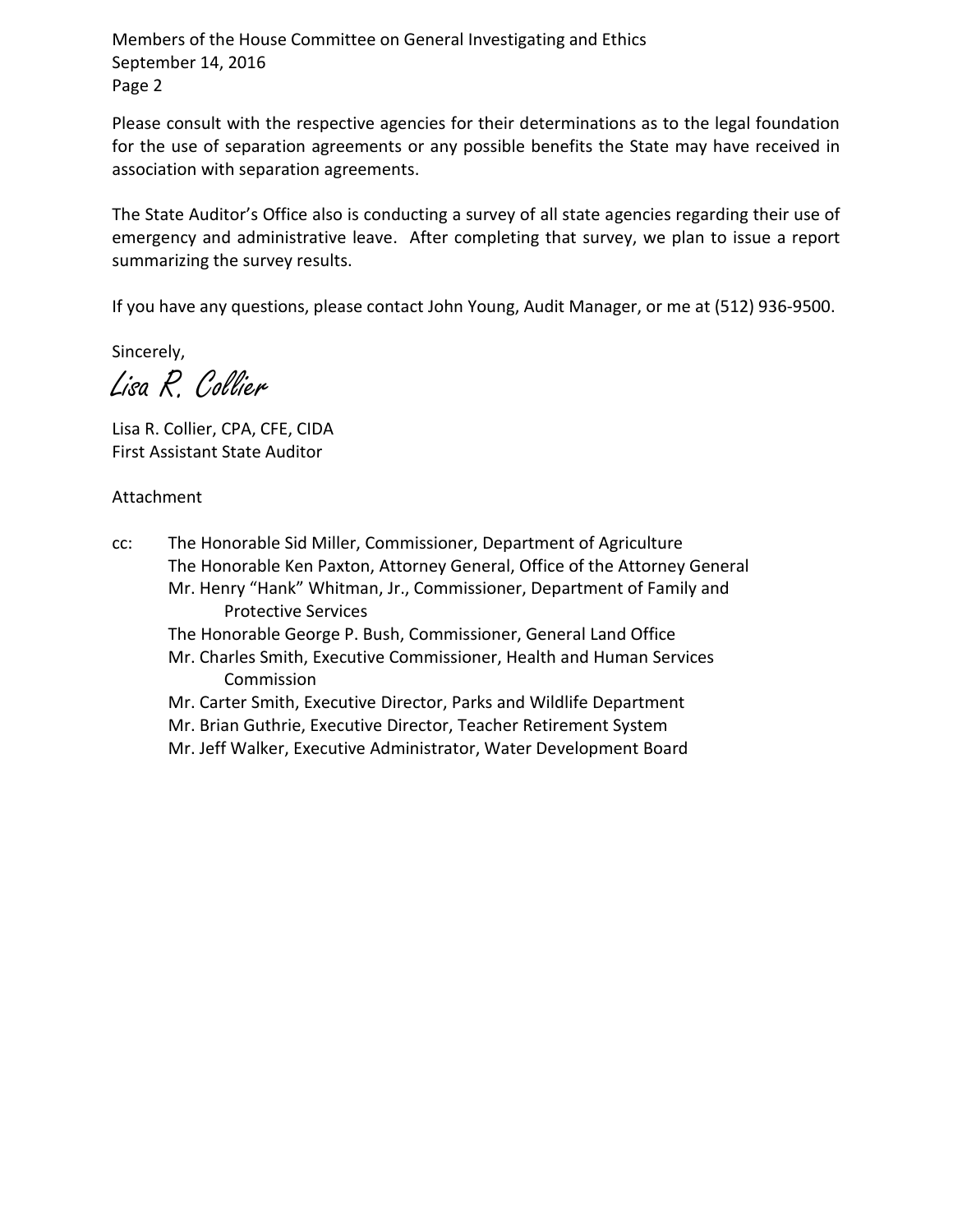Members of the House Committee on General Investigating and Ethics September 14, 2016 Page 2

Please consult with the respective agencies for their determinations as to the legal foundation for the use of separation agreements or any possible benefits the State may have received in association with separation agreements.

The State Auditor's Office also is conducting a survey of all state agencies regarding their use of emergency and administrative leave. After completing that survey, we plan to issue a report summarizing the survey results.

If you have any questions, please contact John Young, Audit Manager, or me at (512) 936-9500.

Sincerely,

Lisa R. Collier

Lisa R. Collier, CPA, CFE, CIDA First Assistant State Auditor

Attachment

cc: The Honorable Sid Miller, Commissioner, Department of Agriculture The Honorable Ken Paxton, Attorney General, Office of the Attorney General Mr. Henry "Hank" Whitman, Jr., Commissioner, Department of Family and Protective Services The Honorable George P. Bush, Commissioner, General Land Office Mr. Charles Smith, Executive Commissioner, Health and Human Services

Commission

Mr. Carter Smith, Executive Director, Parks and Wildlife Department Mr. Brian Guthrie, Executive Director, Teacher Retirement System

Mr. Jeff Walker, Executive Administrator, Water Development Board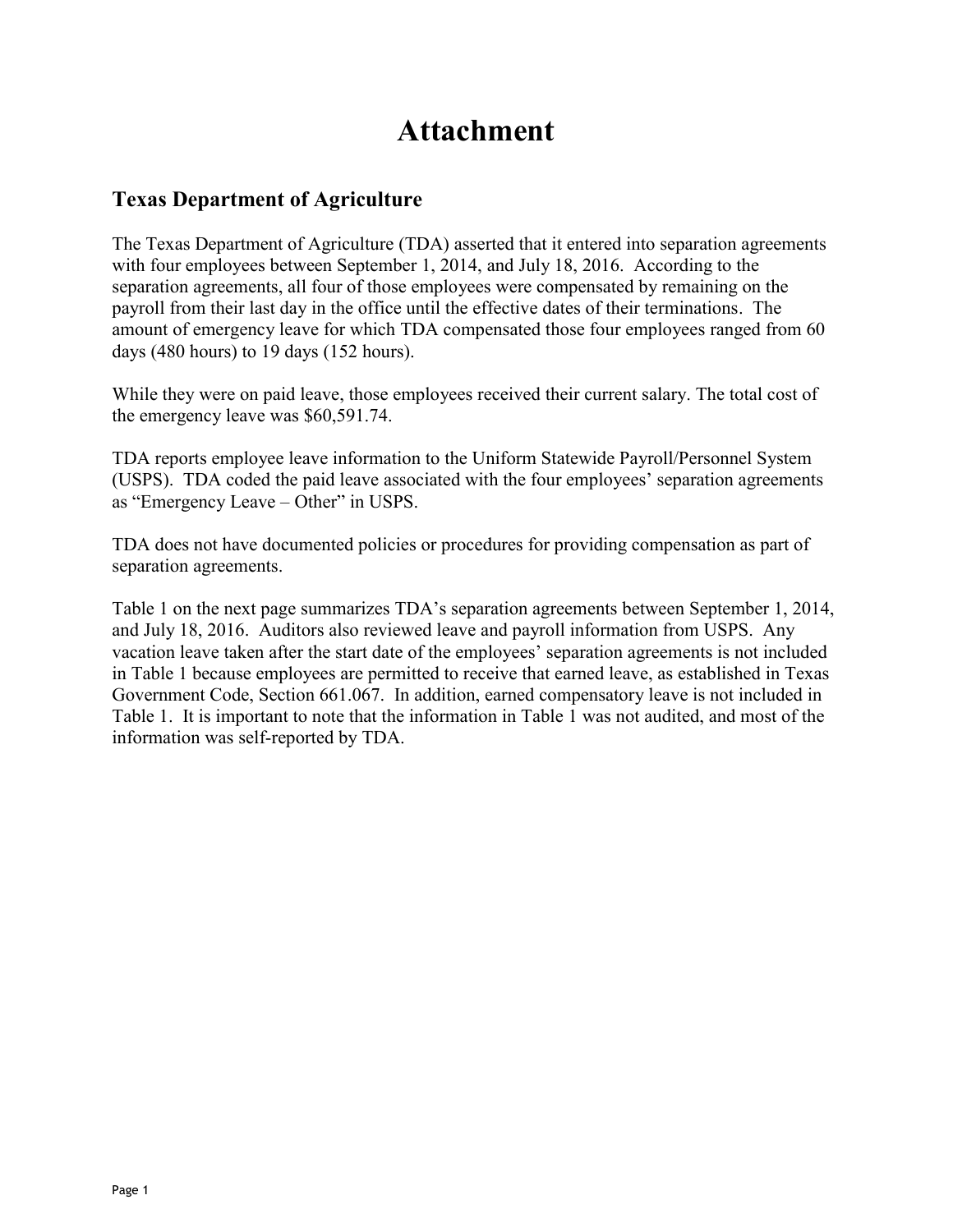# **Attachment**

## **Texas Department of Agriculture**

The Texas Department of Agriculture (TDA) asserted that it entered into separation agreements with four employees between September 1, 2014, and July 18, 2016. According to the separation agreements, all four of those employees were compensated by remaining on the payroll from their last day in the office until the effective dates of their terminations. The amount of emergency leave for which TDA compensated those four employees ranged from 60 days (480 hours) to 19 days (152 hours).

While they were on paid leave, those employees received their current salary. The total cost of the emergency leave was \$60,591.74.

TDA reports employee leave information to the Uniform Statewide Payroll/Personnel System (USPS). TDA coded the paid leave associated with the four employees' separation agreements as "Emergency Leave – Other" in USPS.

TDA does not have documented policies or procedures for providing compensation as part of separation agreements.

Table 1 on the next page summarizes TDA's separation agreements between September 1, 2014, and July 18, 2016. Auditors also reviewed leave and payroll information from USPS. Any vacation leave taken after the start date of the employees' separation agreements is not included in Table 1 because employees are permitted to receive that earned leave, as established in Texas Government Code, Section 661.067. In addition, earned compensatory leave is not included in Table 1. It is important to note that the information in Table 1 was not audited, and most of the information was self-reported by TDA.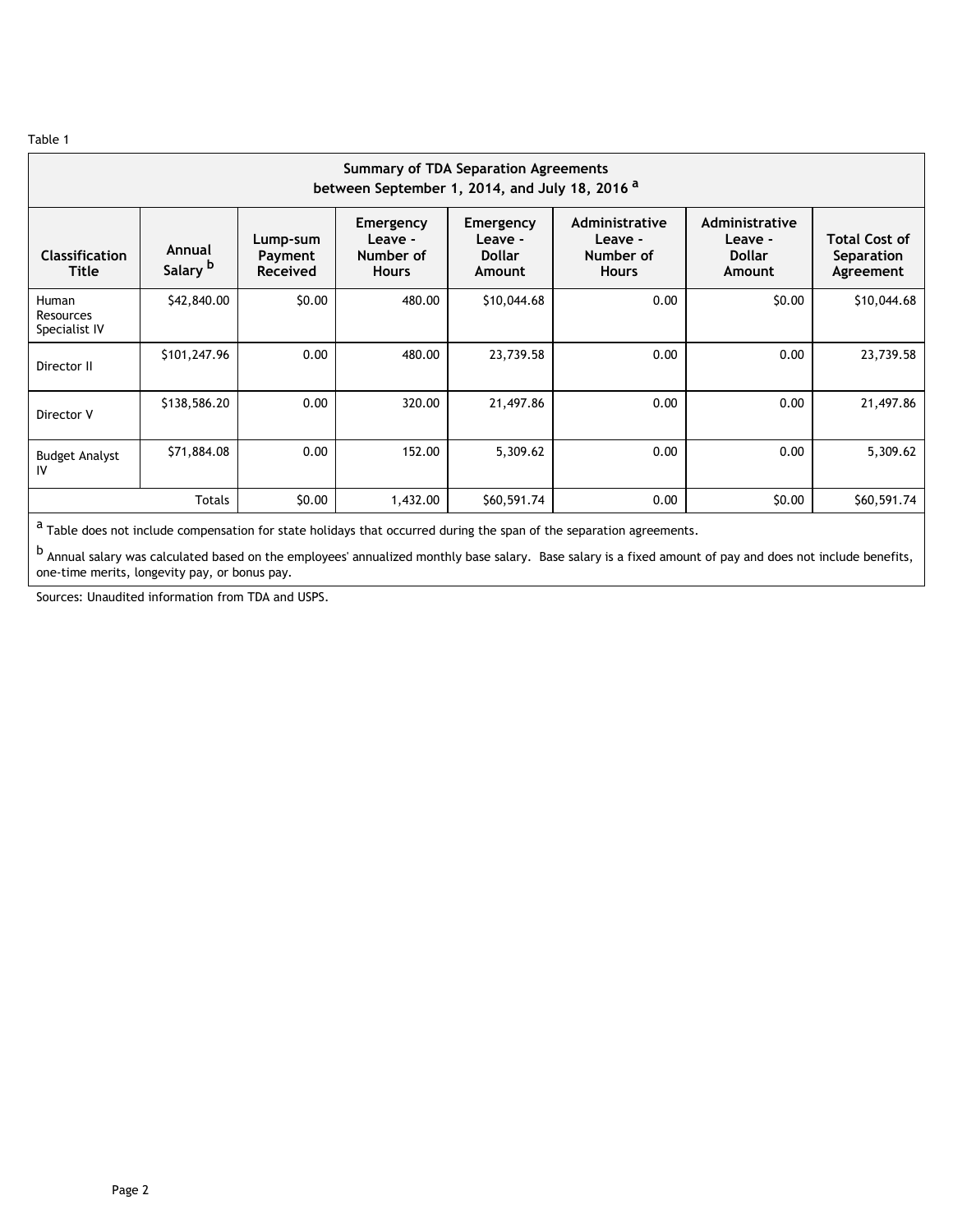| <b>Summary of TDA Separation Agreements</b><br>between September 1, 2014, and July 18, 2016 <sup>a</sup> |                               |                                        |                                                   |                                                 |                                                        |                                                      |                                                 |  |  |  |  |  |
|----------------------------------------------------------------------------------------------------------|-------------------------------|----------------------------------------|---------------------------------------------------|-------------------------------------------------|--------------------------------------------------------|------------------------------------------------------|-------------------------------------------------|--|--|--|--|--|
| <b>Classification</b><br><b>Title</b>                                                                    | Annual<br>Salary <sup>b</sup> | Lump-sum<br>Payment<br><b>Received</b> | Emergency<br>Leave -<br>Number of<br><b>Hours</b> | Emergency<br>Leave -<br><b>Dollar</b><br>Amount | Administrative<br>Leave -<br>Number of<br><b>Hours</b> | Administrative<br>Leave -<br><b>Dollar</b><br>Amount | <b>Total Cost of</b><br>Separation<br>Agreement |  |  |  |  |  |
| Human<br><b>Resources</b><br>Specialist IV                                                               | \$42,840.00                   | \$0.00                                 | 480.00                                            | \$10,044.68                                     | 0.00                                                   | \$0.00                                               | \$10,044.68                                     |  |  |  |  |  |
| Director II                                                                                              | \$101,247.96                  | 0.00                                   | 480.00                                            | 23,739.58                                       | 0.00                                                   | 0.00                                                 | 23,739.58                                       |  |  |  |  |  |
| Director V                                                                                               | \$138,586.20                  | 0.00                                   | 320.00                                            | 21,497.86                                       | 0.00                                                   | 0.00                                                 | 21,497.86                                       |  |  |  |  |  |
| <b>Budget Analyst</b><br>IV                                                                              | \$71,884.08                   | 0.00                                   | 152.00                                            | 5,309.62                                        | 0.00                                                   | 0.00                                                 | 5,309.62                                        |  |  |  |  |  |
|                                                                                                          | <b>Totals</b>                 | \$0.00                                 | 1,432.00                                          | \$60,591.74                                     | 0.00                                                   | \$0.00                                               | \$60,591.74                                     |  |  |  |  |  |

 $a$  Table does not include compensation for state holidays that occurred during the span of the separation agreements.

b Annual salary was calculated based on the employees' annualized monthly base salary. Base salary is a fixed amount of pay and does not include benefits, one-time merits, longevity pay, or bonus pay.

Sources: Unaudited information from TDA and USPS.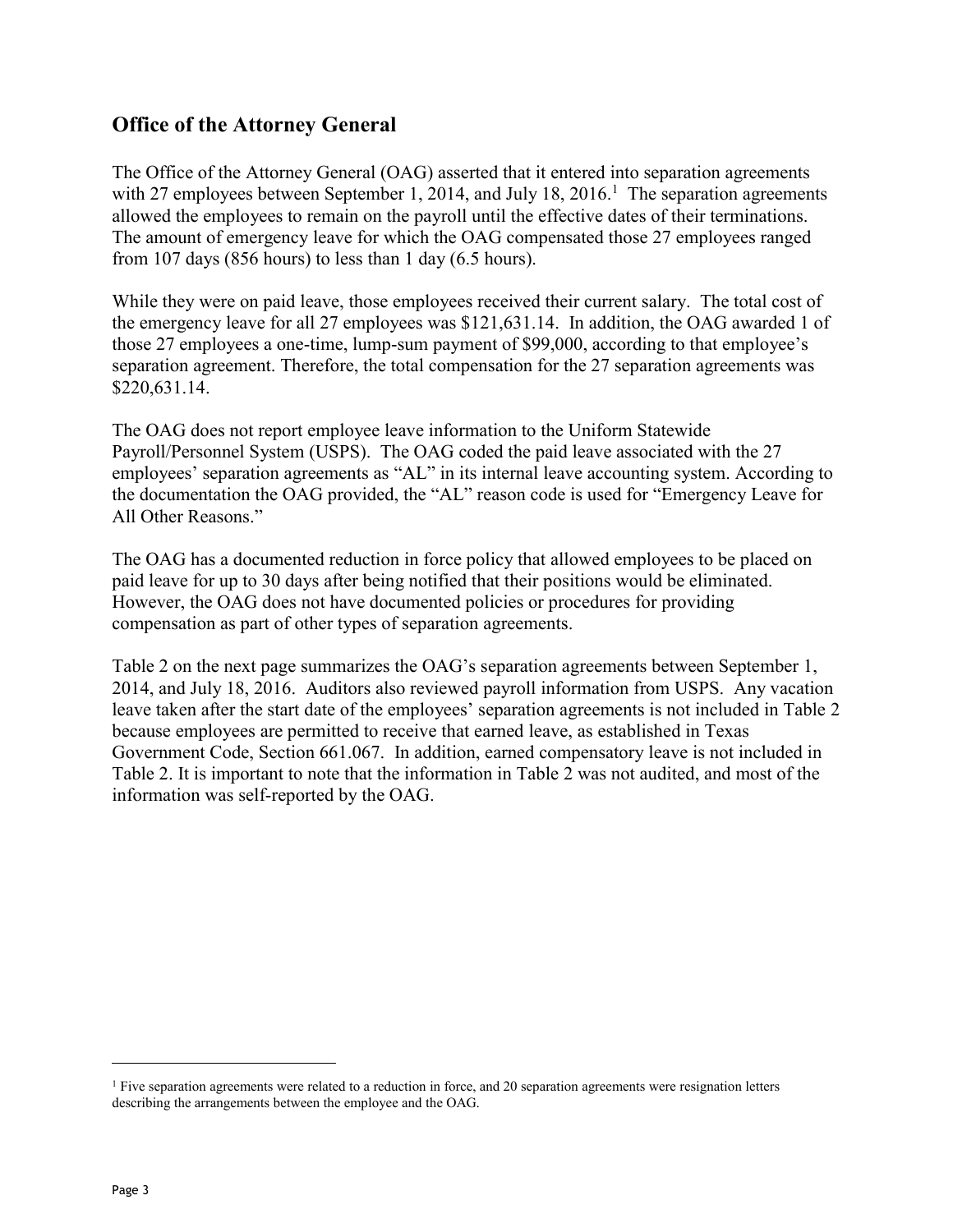## **Office of the Attorney General**

The Office of the Attorney General (OAG) asserted that it entered into separation agreements with 27 employees between September 1, 2014, and July 18, 2016.<sup>1</sup> The separation agreements allowed the employees to remain on the payroll until the effective dates of their terminations. The amount of emergency leave for which the OAG compensated those 27 employees ranged from 107 days (856 hours) to less than 1 day (6.5 hours).

While they were on paid leave, those employees received their current salary. The total cost of the emergency leave for all 27 employees was \$121,631.14. In addition, the OAG awarded 1 of those 27 employees a one-time, lump-sum payment of \$99,000, according to that employee's separation agreement. Therefore, the total compensation for the 27 separation agreements was \$220,631.14.

The OAG does not report employee leave information to the Uniform Statewide Payroll/Personnel System (USPS). The OAG coded the paid leave associated with the 27 employees' separation agreements as "AL" in its internal leave accounting system. According to the documentation the OAG provided, the "AL" reason code is used for "Emergency Leave for All Other Reasons."

The OAG has a documented reduction in force policy that allowed employees to be placed on paid leave for up to 30 days after being notified that their positions would be eliminated. However, the OAG does not have documented policies or procedures for providing compensation as part of other types of separation agreements.

Table 2 on the next page summarizes the OAG's separation agreements between September 1, 2014, and July 18, 2016. Auditors also reviewed payroll information from USPS. Any vacation leave taken after the start date of the employees' separation agreements is not included in Table 2 because employees are permitted to receive that earned leave, as established in Texas Government Code, Section 661.067. In addition, earned compensatory leave is not included in Table 2. It is important to note that the information in Table 2 was not audited, and most of the information was self-reported by the OAG.

 $\overline{a}$ 

 $<sup>1</sup>$  Five separation agreements were related to a reduction in force, and 20 separation agreements were resignation letters</sup> describing the arrangements between the employee and the OAG.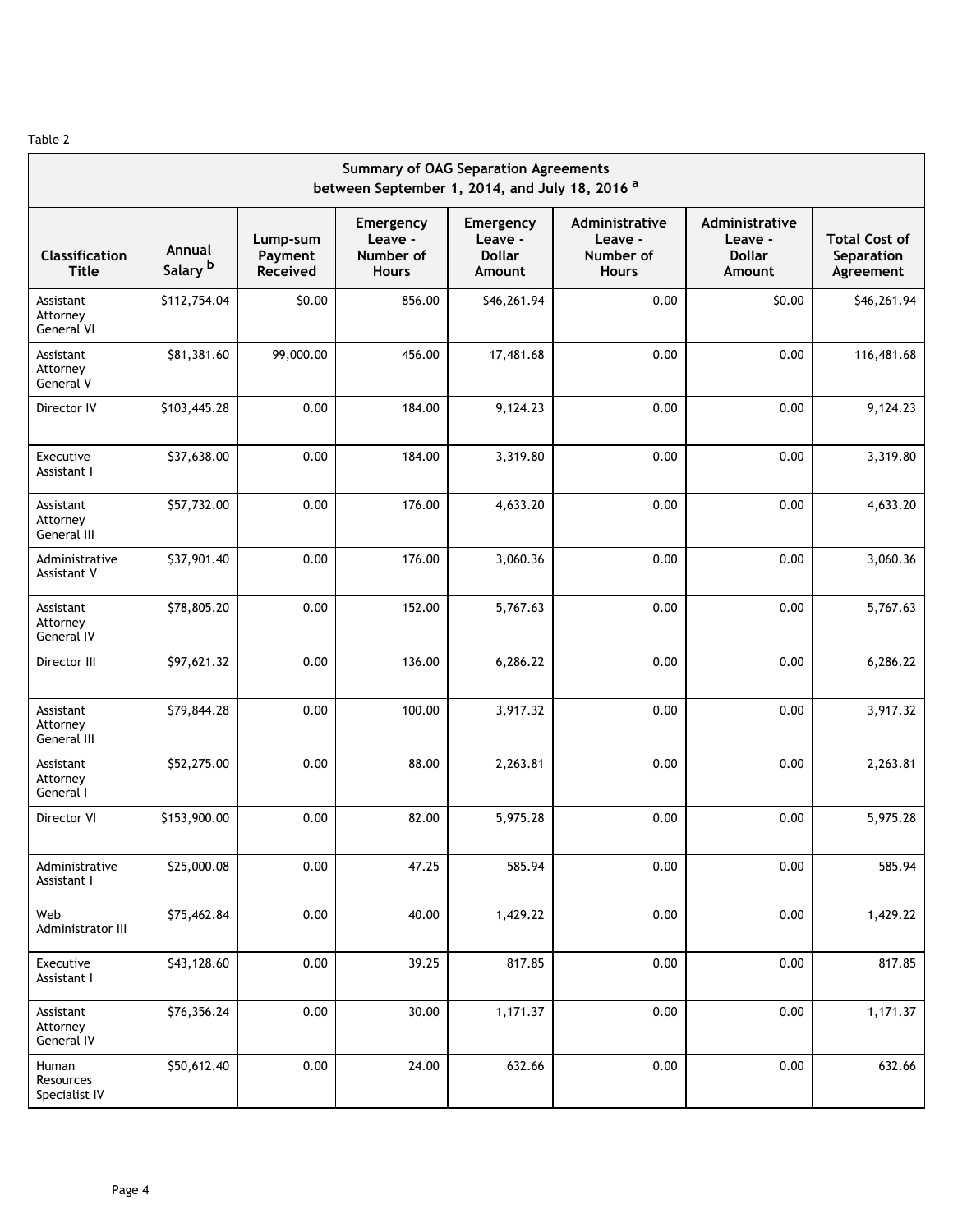| <b>Summary of OAG Separation Agreements</b><br>between September 1, 2014, and July 18, 2016 <sup>a</sup> |                               |                                 |                                                   |                                                 |                                                        |                                                      |                                                 |  |  |  |
|----------------------------------------------------------------------------------------------------------|-------------------------------|---------------------------------|---------------------------------------------------|-------------------------------------------------|--------------------------------------------------------|------------------------------------------------------|-------------------------------------------------|--|--|--|
| <b>Classification</b><br><b>Title</b>                                                                    | Annual<br>Salary <sup>b</sup> | Lump-sum<br>Payment<br>Received | Emergency<br>Leave -<br>Number of<br><b>Hours</b> | Emergency<br>Leave -<br><b>Dollar</b><br>Amount | Administrative<br>Leave -<br>Number of<br><b>Hours</b> | Administrative<br>Leave -<br><b>Dollar</b><br>Amount | <b>Total Cost of</b><br>Separation<br>Agreement |  |  |  |
| Assistant<br>Attorney<br>General VI                                                                      | \$112,754.04                  | \$0.00                          | 856.00                                            | \$46,261.94                                     | 0.00                                                   | \$0.00                                               | \$46,261.94                                     |  |  |  |
| Assistant<br>Attorney<br>General V                                                                       | \$81,381.60                   | 99,000.00                       | 456.00                                            | 17,481.68                                       | 0.00                                                   | 0.00                                                 | 116,481.68                                      |  |  |  |
| Director IV                                                                                              | \$103,445.28                  | 0.00                            | 184.00                                            | 9,124.23                                        | 0.00                                                   | 0.00                                                 | 9,124.23                                        |  |  |  |
| Executive<br>Assistant I                                                                                 | \$37,638.00                   | 0.00                            | 184.00                                            | 3,319.80                                        | 0.00                                                   | 0.00                                                 | 3,319.80                                        |  |  |  |
| Assistant<br>Attorney<br>General III                                                                     | \$57,732.00                   | 0.00                            | 176.00                                            | 4,633.20                                        | 0.00                                                   | 0.00                                                 | 4,633.20                                        |  |  |  |
| Administrative<br>Assistant V                                                                            | \$37,901.40                   | 0.00                            | 176.00                                            | 3,060.36                                        | 0.00                                                   | 0.00                                                 | 3,060.36                                        |  |  |  |
| Assistant<br>Attorney<br>General IV                                                                      | \$78,805.20                   | 0.00                            | 152.00                                            | 5,767.63                                        | 0.00                                                   | 0.00                                                 | 5,767.63                                        |  |  |  |
| Director III                                                                                             | \$97,621.32                   | 0.00                            | 136.00                                            | 6,286.22                                        | 0.00                                                   | 0.00                                                 | 6,286.22                                        |  |  |  |
| Assistant<br>Attorney<br>General III                                                                     | \$79,844.28                   | 0.00                            | 100.00                                            | 3,917.32                                        | 0.00                                                   | 0.00                                                 | 3,917.32                                        |  |  |  |
| Assistant<br>Attorney<br>General I                                                                       | \$52,275.00                   | 0.00                            | 88.00                                             | 2,263.81                                        | 0.00                                                   | 0.00                                                 | 2,263.81                                        |  |  |  |
| Director VI                                                                                              | \$153,900.00                  | 0.00                            | 82.00                                             | 5,975.28                                        | 0.00                                                   | 0.00                                                 | 5,975.28                                        |  |  |  |
| Administrative<br>Assistant I                                                                            | \$25,000.08                   | 0.00                            | 47.25                                             | 585.94                                          | 0.00                                                   | 0.00                                                 | 585.94                                          |  |  |  |
| Web<br>Administrator III                                                                                 | \$75,462.84                   | 0.00                            | 40.00                                             | 1,429.22                                        | 0.00                                                   | 0.00                                                 | 1,429.22                                        |  |  |  |
| Executive<br>Assistant I                                                                                 | \$43,128.60                   | 0.00                            | 39.25                                             | 817.85                                          | 0.00                                                   | 0.00                                                 | 817.85                                          |  |  |  |
| Assistant<br>Attorney<br>General IV                                                                      | \$76,356.24                   | 0.00                            | 30.00                                             | 1,171.37                                        | 0.00                                                   | 0.00                                                 | 1,171.37                                        |  |  |  |
| Human<br>Resources<br>Specialist IV                                                                      | \$50,612.40                   | 0.00                            | 24.00                                             | 632.66                                          | 0.00                                                   | 0.00                                                 | 632.66                                          |  |  |  |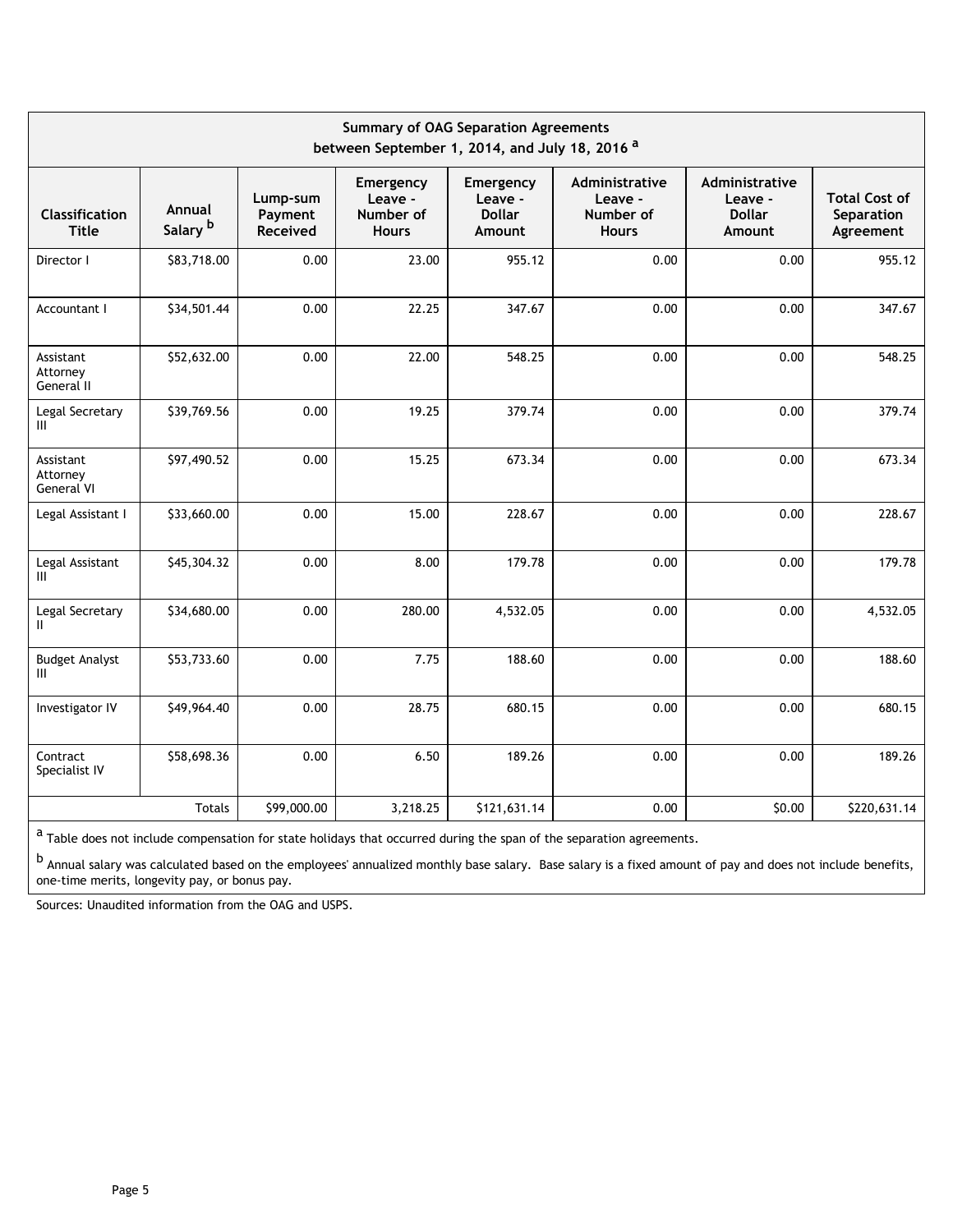| <b>Summary of OAG Separation Agreements</b><br>between September 1, 2014, and July 18, 2016 <sup>a</sup> |                               |                                 |                                                   |                                                 |                                                        |                                                      |                                                 |  |  |  |  |
|----------------------------------------------------------------------------------------------------------|-------------------------------|---------------------------------|---------------------------------------------------|-------------------------------------------------|--------------------------------------------------------|------------------------------------------------------|-------------------------------------------------|--|--|--|--|
| <b>Classification</b><br><b>Title</b>                                                                    | Annual<br>Salary <sup>b</sup> | Lump-sum<br>Payment<br>Received | Emergency<br>Leave -<br>Number of<br><b>Hours</b> | Emergency<br>Leave -<br><b>Dollar</b><br>Amount | Administrative<br>Leave -<br>Number of<br><b>Hours</b> | Administrative<br>Leave -<br><b>Dollar</b><br>Amount | <b>Total Cost of</b><br>Separation<br>Agreement |  |  |  |  |
| Director I                                                                                               | \$83,718.00                   | 0.00                            | 23.00                                             | 955.12                                          | 0.00                                                   | 0.00                                                 | 955.12                                          |  |  |  |  |
| Accountant I                                                                                             | \$34,501.44                   | 0.00                            | 22.25                                             | 347.67                                          | 0.00                                                   | 0.00                                                 | 347.67                                          |  |  |  |  |
| Assistant<br>Attorney<br>General II                                                                      | \$52,632.00                   | 0.00                            | 22.00                                             | 548.25                                          | 0.00                                                   | 0.00                                                 | 548.25                                          |  |  |  |  |
| Legal Secretary<br>Ш                                                                                     | \$39,769.56                   | 0.00                            | 19.25                                             | 379.74                                          | 0.00                                                   | 0.00                                                 | 379.74                                          |  |  |  |  |
| Assistant<br>Attorney<br>General VI                                                                      | \$97,490.52                   | 0.00                            | 15.25                                             | 673.34                                          | 0.00                                                   | 0.00                                                 | 673.34                                          |  |  |  |  |
| Legal Assistant I                                                                                        | \$33,660.00                   | 0.00                            | 15.00                                             | 228.67                                          | 0.00                                                   | 0.00                                                 | 228.67                                          |  |  |  |  |
| Legal Assistant<br>Ш                                                                                     | \$45,304.32                   | 0.00                            | 8.00                                              | 179.78                                          | 0.00                                                   | 0.00                                                 | 179.78                                          |  |  |  |  |
| Legal Secretary<br>Ш.                                                                                    | \$34,680.00                   | 0.00                            | 280.00                                            | 4,532.05                                        | 0.00                                                   | 0.00                                                 | 4,532.05                                        |  |  |  |  |
| <b>Budget Analyst</b><br>Ш                                                                               | \$53,733.60                   | 0.00                            | 7.75                                              | 188.60                                          | 0.00                                                   | 0.00                                                 | 188.60                                          |  |  |  |  |
| Investigator IV                                                                                          | \$49,964.40                   | 0.00                            | 28.75                                             | 680.15                                          | 0.00                                                   | 0.00                                                 | 680.15                                          |  |  |  |  |
| Contract<br>Specialist IV                                                                                | \$58,698.36                   | 0.00                            | 6.50                                              | 189.26                                          | 0.00                                                   | 0.00                                                 | 189.26                                          |  |  |  |  |
|                                                                                                          | <b>Totals</b>                 | \$99,000.00                     | 3,218.25                                          | \$121,631.14                                    | 0.00                                                   | \$0.00                                               | \$220,631.14                                    |  |  |  |  |

 $a$  Table does not include compensation for state holidays that occurred during the span of the separation agreements.

b Annual salary was calculated based on the employees' annualized monthly base salary. Base salary is a fixed amount of pay and does not include benefits, one-time merits, longevity pay, or bonus pay.

Sources: Unaudited information from the OAG and USPS.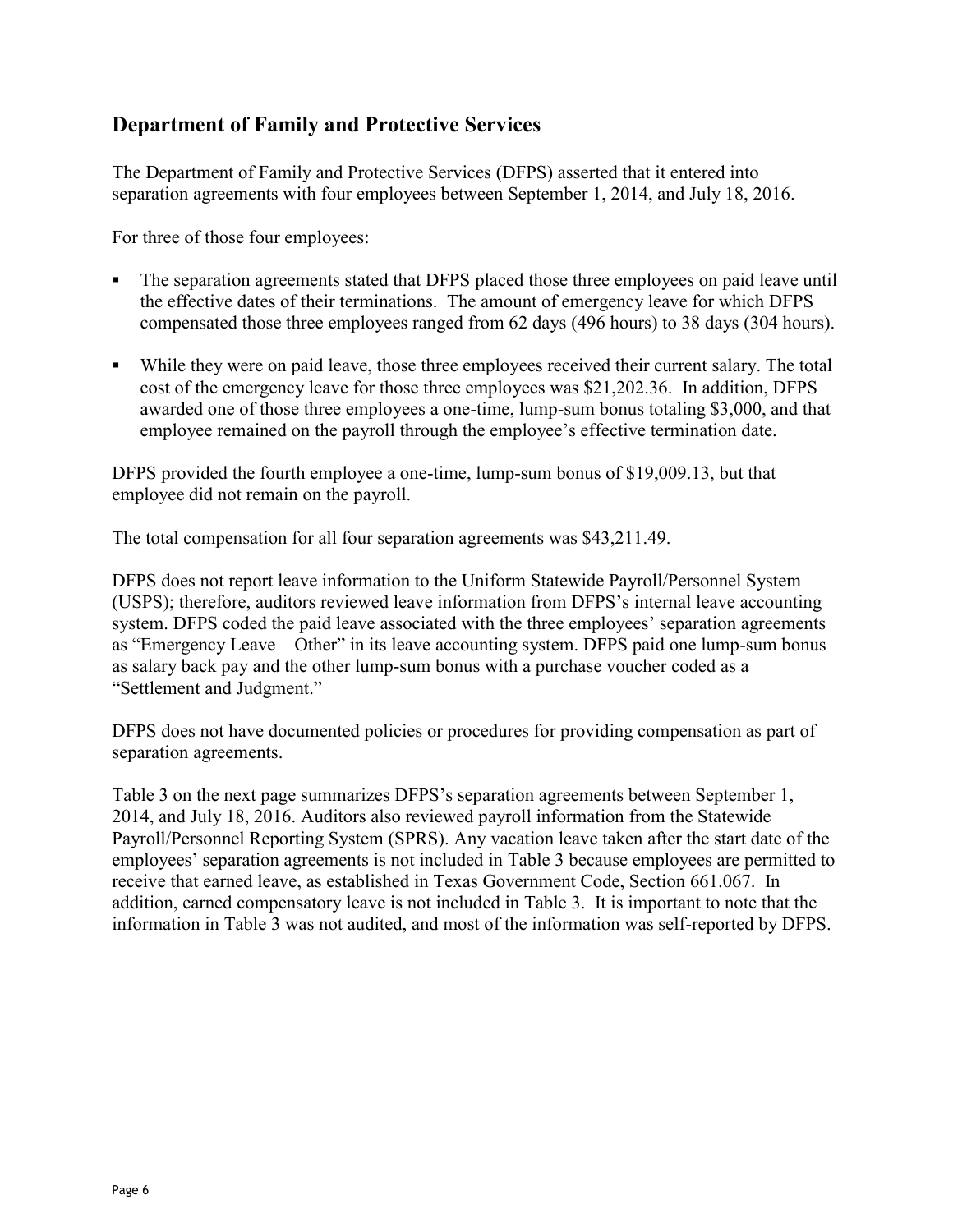## **Department of Family and Protective Services**

The Department of Family and Protective Services (DFPS) asserted that it entered into separation agreements with four employees between September 1, 2014, and July 18, 2016.

For three of those four employees:

- The separation agreements stated that DFPS placed those three employees on paid leave until the effective dates of their terminations. The amount of emergency leave for which DFPS compensated those three employees ranged from 62 days (496 hours) to 38 days (304 hours).
- While they were on paid leave, those three employees received their current salary. The total cost of the emergency leave for those three employees was \$21,202.36. In addition, DFPS awarded one of those three employees a one-time, lump-sum bonus totaling \$3,000, and that employee remained on the payroll through the employee's effective termination date.

DFPS provided the fourth employee a one-time, lump-sum bonus of \$19,009.13, but that employee did not remain on the payroll.

The total compensation for all four separation agreements was \$43,211.49.

DFPS does not report leave information to the Uniform Statewide Payroll/Personnel System (USPS); therefore, auditors reviewed leave information from DFPS's internal leave accounting system. DFPS coded the paid leave associated with the three employees' separation agreements as "Emergency Leave – Other" in its leave accounting system. DFPS paid one lump-sum bonus as salary back pay and the other lump-sum bonus with a purchase voucher coded as a "Settlement and Judgment."

DFPS does not have documented policies or procedures for providing compensation as part of separation agreements.

Table 3 on the next page summarizes DFPS's separation agreements between September 1, 2014, and July 18, 2016. Auditors also reviewed payroll information from the Statewide Payroll/Personnel Reporting System (SPRS). Any vacation leave taken after the start date of the employees' separation agreements is not included in Table 3 because employees are permitted to receive that earned leave, as established in Texas Government Code, Section 661.067. In addition, earned compensatory leave is not included in Table 3. It is important to note that the information in Table 3 was not audited, and most of the information was self-reported by DFPS.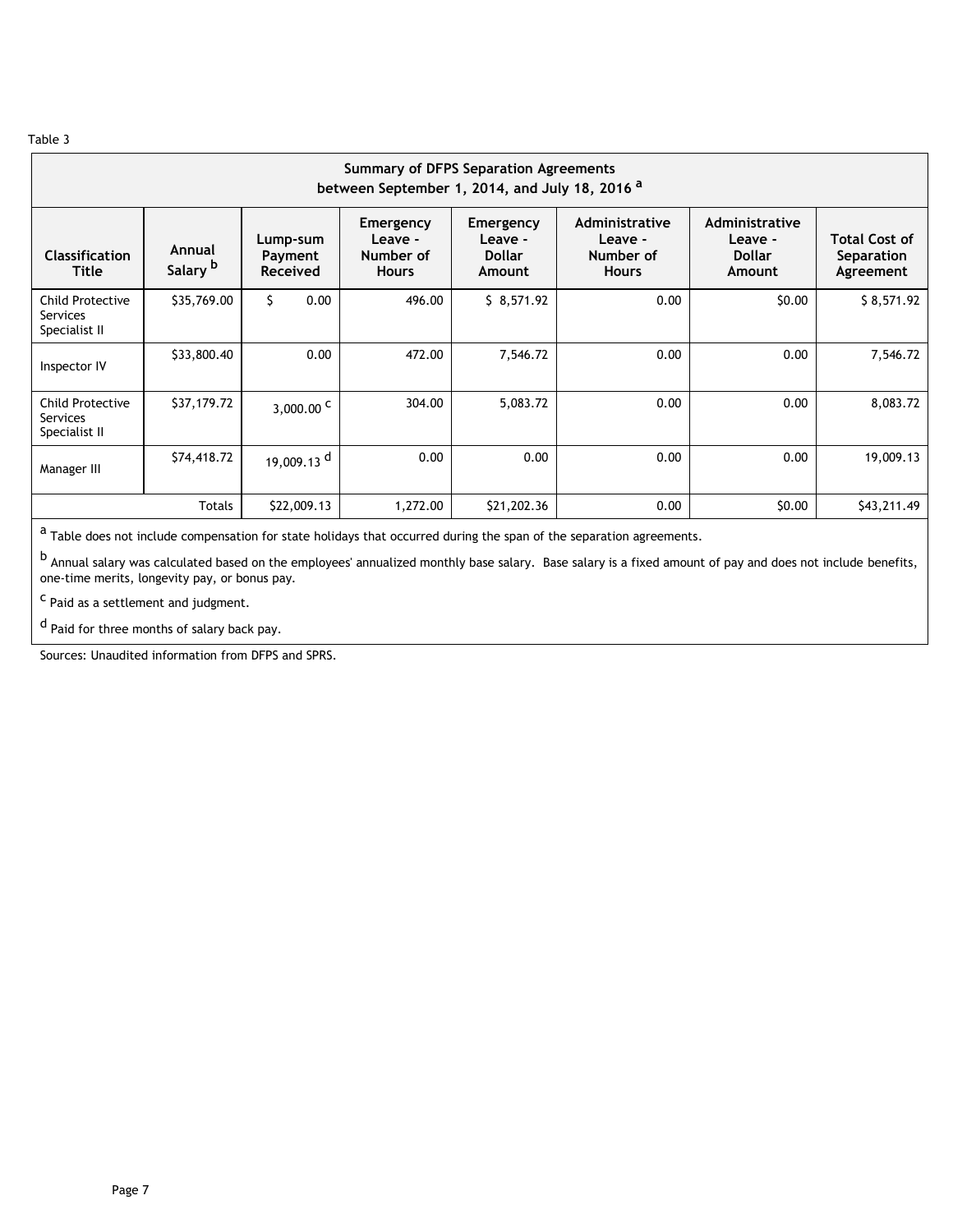| <b>Summary of DFPS Separation Agreements</b><br>between September 1, 2014, and July 18, 2016 <sup>a</sup> |                               |                                        |                                                   |                                                 |                                                        |                                                      |                                                 |  |  |  |  |  |
|-----------------------------------------------------------------------------------------------------------|-------------------------------|----------------------------------------|---------------------------------------------------|-------------------------------------------------|--------------------------------------------------------|------------------------------------------------------|-------------------------------------------------|--|--|--|--|--|
| <b>Classification</b><br>Title                                                                            | Annual<br>Salary <sup>b</sup> | Lump-sum<br>Payment<br><b>Received</b> | Emergency<br>Leave -<br>Number of<br><b>Hours</b> | Emergency<br>Leave -<br><b>Dollar</b><br>Amount | Administrative<br>Leave -<br>Number of<br><b>Hours</b> | Administrative<br>Leave -<br><b>Dollar</b><br>Amount | <b>Total Cost of</b><br>Separation<br>Agreement |  |  |  |  |  |
| <b>Child Protective</b><br>Services<br>Specialist II                                                      | \$35,769.00                   | \$<br>0.00                             | 496.00                                            | \$8,571.92                                      | 0.00                                                   | \$0.00                                               | \$8,571.92                                      |  |  |  |  |  |
| Inspector IV                                                                                              | \$33,800.40                   | 0.00                                   | 472.00                                            | 7,546.72                                        | 0.00                                                   | 0.00                                                 | 7,546.72                                        |  |  |  |  |  |
| Child Protective<br>Services<br>Specialist II                                                             | \$37,179.72                   | $3,000.00^{\circ}$                     | 304.00                                            | 5,083.72                                        | 0.00                                                   | 0.00                                                 | 8,083.72                                        |  |  |  |  |  |
| Manager III                                                                                               | \$74,418.72                   | 19,009.13 <sup>d</sup>                 | 0.00                                              | 0.00                                            | 0.00                                                   | 0.00                                                 | 19,009.13                                       |  |  |  |  |  |
|                                                                                                           | Totals                        | \$22,009.13                            | 1,272.00                                          | \$21,202.36                                     | 0.00                                                   | \$0.00                                               | \$43,211.49                                     |  |  |  |  |  |

 $a$  Table does not include compensation for state holidays that occurred during the span of the separation agreements.

b<br>Annual salary was calculated based on the employees' annualized monthly base salary. Base salary is a fixed amount of pay and does not include benefits, one-time merits, longevity pay, or bonus pay.

c Paid as a settlement and judgment.

d Paid for three months of salary back pay.

Sources: Unaudited information from DFPS and SPRS.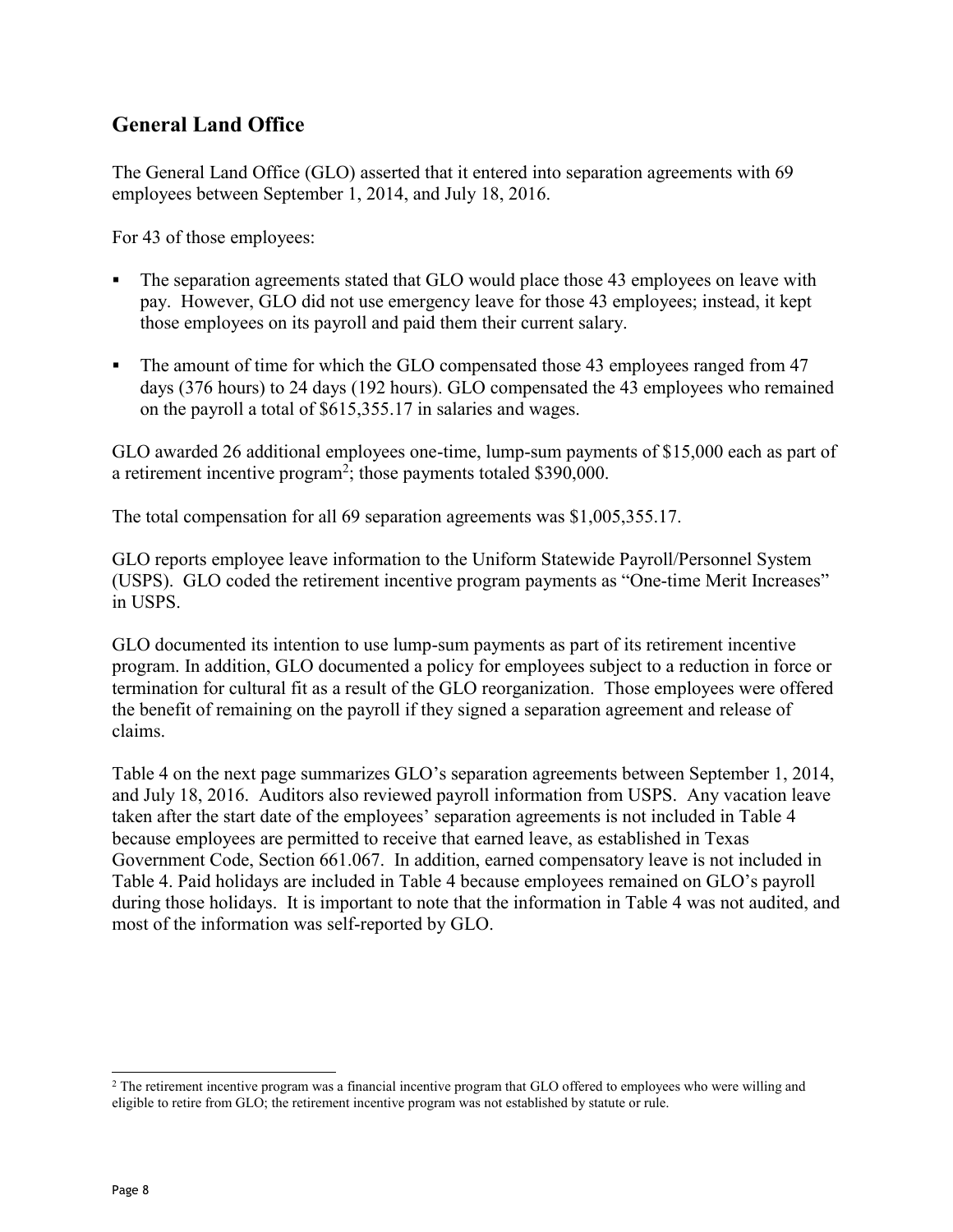## **General Land Office**

The General Land Office (GLO) asserted that it entered into separation agreements with 69 employees between September 1, 2014, and July 18, 2016.

For 43 of those employees:

- The separation agreements stated that GLO would place those 43 employees on leave with pay. However, GLO did not use emergency leave for those 43 employees; instead, it kept those employees on its payroll and paid them their current salary.
- The amount of time for which the GLO compensated those 43 employees ranged from 47 days (376 hours) to 24 days (192 hours). GLO compensated the 43 employees who remained on the payroll a total of \$615,355.17 in salaries and wages.

GLO awarded 26 additional employees one-time, lump-sum payments of \$15,000 each as part of a retirement incentive program<sup>2</sup>; those payments totaled \$390,000.

The total compensation for all 69 separation agreements was \$1,005,355.17.

GLO reports employee leave information to the Uniform Statewide Payroll/Personnel System (USPS). GLO coded the retirement incentive program payments as "One-time Merit Increases" in USPS.

GLO documented its intention to use lump-sum payments as part of its retirement incentive program. In addition, GLO documented a policy for employees subject to a reduction in force or termination for cultural fit as a result of the GLO reorganization. Those employees were offered the benefit of remaining on the payroll if they signed a separation agreement and release of claims.

Table 4 on the next page summarizes GLO's separation agreements between September 1, 2014, and July 18, 2016. Auditors also reviewed payroll information from USPS. Any vacation leave taken after the start date of the employees' separation agreements is not included in Table 4 because employees are permitted to receive that earned leave, as established in Texas Government Code, Section 661.067. In addition, earned compensatory leave is not included in Table 4. Paid holidays are included in Table 4 because employees remained on GLO's payroll during those holidays. It is important to note that the information in Table 4 was not audited, and most of the information was self-reported by GLO.

 $\overline{a}$ 

<sup>&</sup>lt;sup>2</sup> The retirement incentive program was a financial incentive program that GLO offered to employees who were willing and eligible to retire from GLO; the retirement incentive program was not established by statute or rule.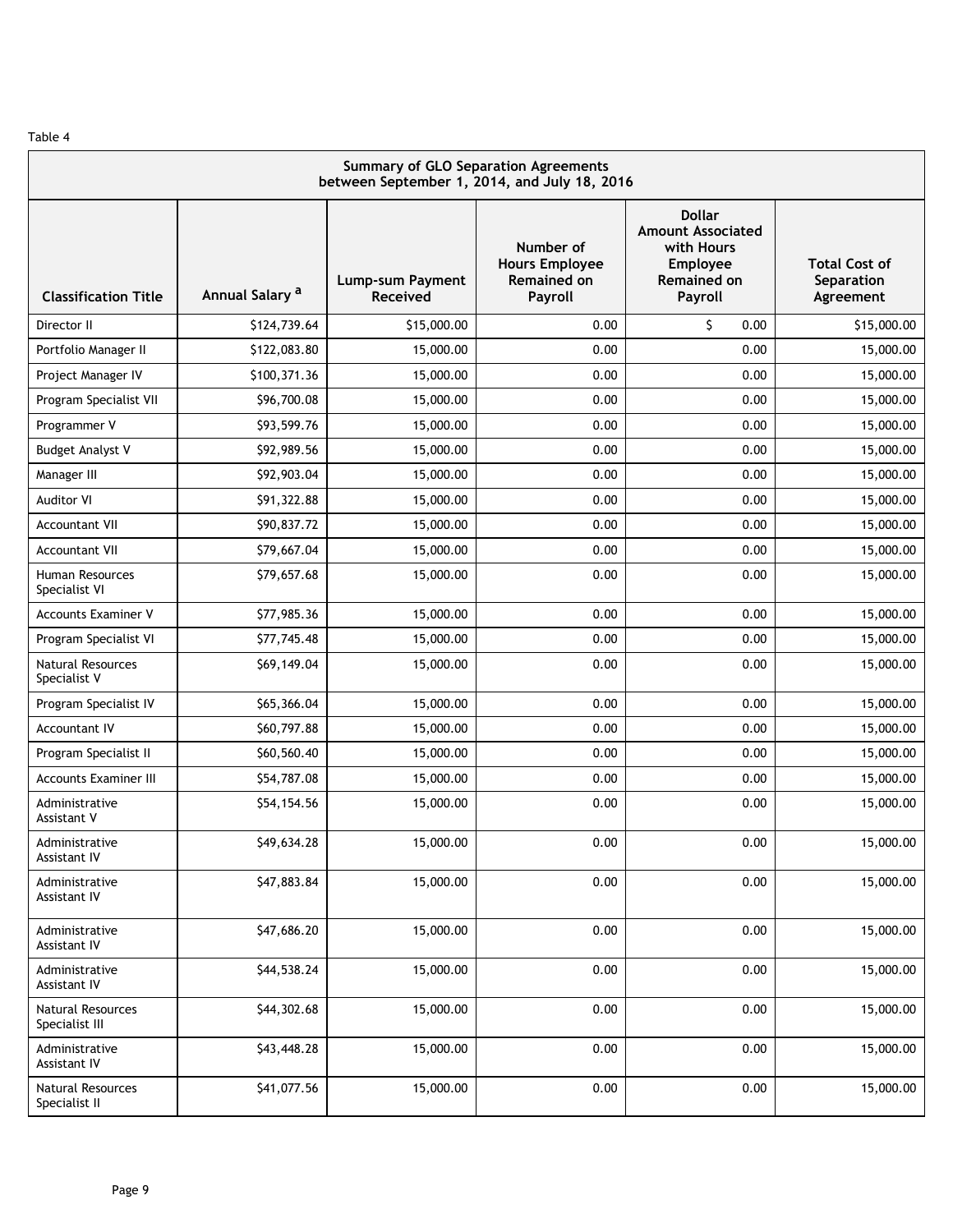| <b>Summary of GLO Separation Agreements</b><br>between September 1, 2014, and July 18, 2016 |                            |                              |                                                              |                                                                                                      |                                                 |  |  |  |  |  |
|---------------------------------------------------------------------------------------------|----------------------------|------------------------------|--------------------------------------------------------------|------------------------------------------------------------------------------------------------------|-------------------------------------------------|--|--|--|--|--|
| <b>Classification Title</b>                                                                 | Annual Salary <sup>a</sup> | Lump-sum Payment<br>Received | Number of<br><b>Hours Employee</b><br>Remained on<br>Payroll | <b>Dollar</b><br><b>Amount Associated</b><br>with Hours<br>Employee<br><b>Remained on</b><br>Payroll | <b>Total Cost of</b><br>Separation<br>Agreement |  |  |  |  |  |
| Director II                                                                                 | \$124,739.64               | \$15,000.00                  | 0.00                                                         | Ś.<br>0.00                                                                                           | \$15,000.00                                     |  |  |  |  |  |
| Portfolio Manager II                                                                        | \$122,083.80               | 15,000.00                    | 0.00                                                         | 0.00                                                                                                 | 15,000.00                                       |  |  |  |  |  |
| Project Manager IV                                                                          | \$100,371.36               | 15,000.00                    | 0.00                                                         | 0.00                                                                                                 | 15,000.00                                       |  |  |  |  |  |
| Program Specialist VII                                                                      | \$96,700.08                | 15,000.00                    | 0.00                                                         | 0.00                                                                                                 | 15,000.00                                       |  |  |  |  |  |
| Programmer V                                                                                | \$93,599.76                | 15,000.00                    | 0.00                                                         | 0.00                                                                                                 | 15,000.00                                       |  |  |  |  |  |
| <b>Budget Analyst V</b>                                                                     | \$92,989.56                | 15,000.00                    | 0.00                                                         | 0.00                                                                                                 | 15,000.00                                       |  |  |  |  |  |
| Manager III                                                                                 | \$92,903.04                | 15,000.00                    | 0.00                                                         | 0.00                                                                                                 | 15,000.00                                       |  |  |  |  |  |
| <b>Auditor VI</b>                                                                           | \$91,322.88                | 15,000.00                    | 0.00                                                         | 0.00                                                                                                 | 15,000.00                                       |  |  |  |  |  |
| <b>Accountant VII</b>                                                                       | \$90,837.72                | 15,000.00                    | 0.00                                                         | 0.00                                                                                                 | 15,000.00                                       |  |  |  |  |  |
| <b>Accountant VII</b>                                                                       | \$79,667.04                | 15,000.00                    | 0.00                                                         | 0.00                                                                                                 | 15,000.00                                       |  |  |  |  |  |
| Human Resources<br>Specialist VI                                                            | \$79,657.68                | 15,000.00                    | 0.00                                                         | 0.00                                                                                                 | 15,000.00                                       |  |  |  |  |  |
| <b>Accounts Examiner V</b>                                                                  | \$77,985.36                | 15,000.00                    | 0.00                                                         | 0.00                                                                                                 | 15,000.00                                       |  |  |  |  |  |
| Program Specialist VI                                                                       | \$77,745.48                | 15,000.00                    | 0.00                                                         | 0.00                                                                                                 | 15,000.00                                       |  |  |  |  |  |
| Natural Resources<br>Specialist V                                                           | \$69,149.04                | 15,000.00                    | 0.00                                                         | 0.00                                                                                                 | 15,000.00                                       |  |  |  |  |  |
| Program Specialist IV                                                                       | \$65,366.04                | 15,000.00                    | 0.00                                                         | 0.00                                                                                                 | 15,000.00                                       |  |  |  |  |  |
| <b>Accountant IV</b>                                                                        | \$60,797.88                | 15,000.00                    | 0.00                                                         | 0.00                                                                                                 | 15,000.00                                       |  |  |  |  |  |
| Program Specialist II                                                                       | \$60,560.40                | 15,000.00                    | 0.00                                                         | 0.00                                                                                                 | 15,000.00                                       |  |  |  |  |  |
| Accounts Examiner III                                                                       | \$54,787.08                | 15,000.00                    | 0.00                                                         | 0.00                                                                                                 | 15,000.00                                       |  |  |  |  |  |
| Administrative<br>Assistant V                                                               | \$54,154.56                | 15,000.00                    | 0.00                                                         | 0.00                                                                                                 | 15,000.00                                       |  |  |  |  |  |
| Administrative<br>Assistant IV                                                              | \$49,634.28                | 15,000.00                    | 0.00                                                         | 0.00                                                                                                 | 15,000.00                                       |  |  |  |  |  |
| Administrative<br>Assistant IV                                                              | \$47,883.84                | 15,000.00                    | 0.00                                                         | 0.00                                                                                                 | 15,000.00                                       |  |  |  |  |  |
| Administrative<br>Assistant IV                                                              | \$47,686.20                | 15,000.00                    | 0.00                                                         | 0.00                                                                                                 | 15,000.00                                       |  |  |  |  |  |
| Administrative<br><b>Assistant IV</b>                                                       | \$44,538.24                | 15,000.00                    | 0.00                                                         | 0.00                                                                                                 | 15,000.00                                       |  |  |  |  |  |
| Natural Resources<br>Specialist III                                                         | \$44,302.68                | 15,000.00                    | 0.00                                                         | 0.00                                                                                                 | 15,000.00                                       |  |  |  |  |  |
| Administrative<br>Assistant IV                                                              | \$43,448.28                | 15,000.00                    | 0.00                                                         | 0.00                                                                                                 | 15,000.00                                       |  |  |  |  |  |
| Natural Resources<br>Specialist II                                                          | \$41,077.56                | 15,000.00                    | 0.00                                                         | 0.00                                                                                                 | 15,000.00                                       |  |  |  |  |  |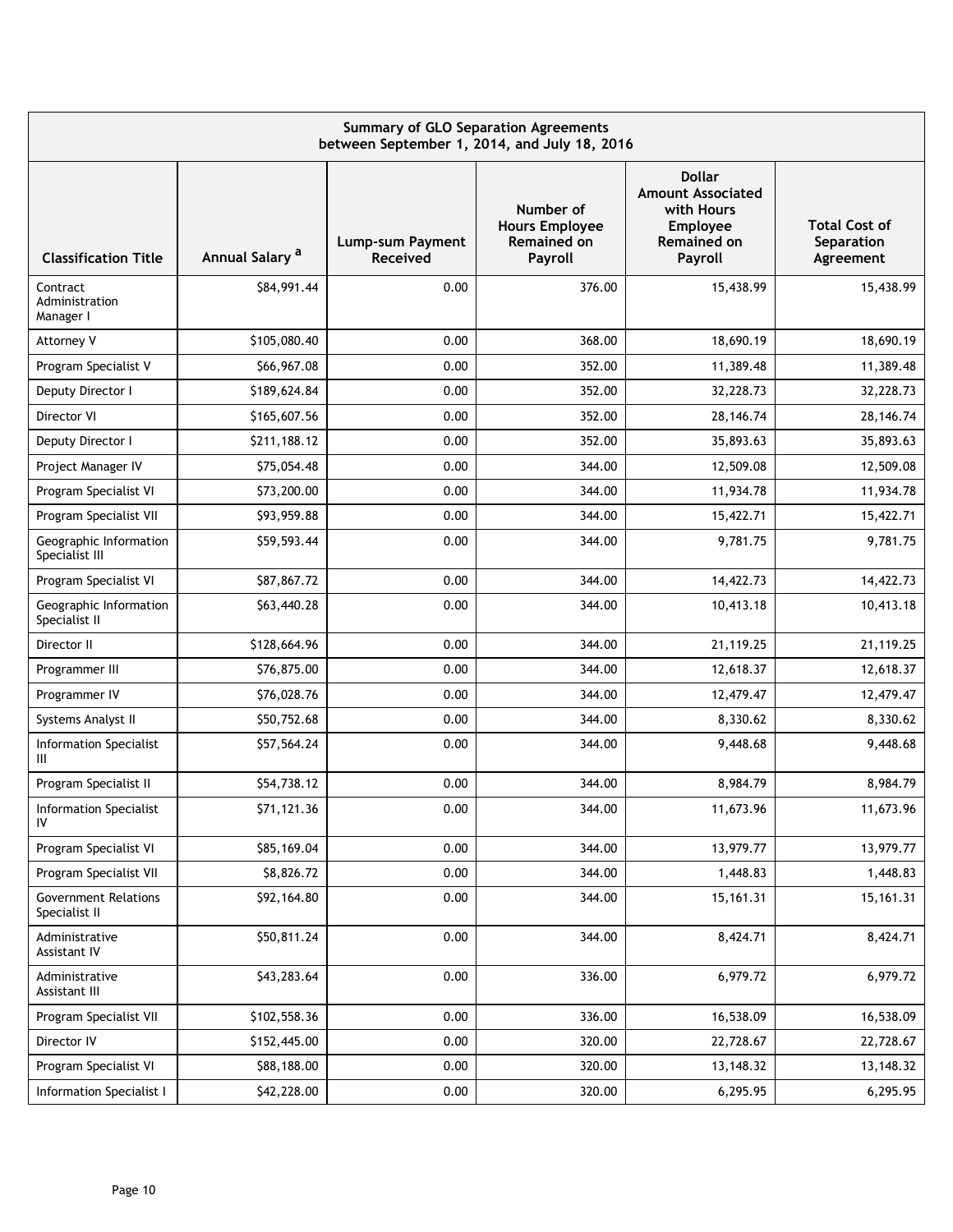| <b>Summary of GLO Separation Agreements</b><br>between September 1, 2014, and July 18, 2016 |                            |                                     |                                                                     |                                                                                                             |                                                 |  |  |  |  |  |
|---------------------------------------------------------------------------------------------|----------------------------|-------------------------------------|---------------------------------------------------------------------|-------------------------------------------------------------------------------------------------------------|-------------------------------------------------|--|--|--|--|--|
| <b>Classification Title</b>                                                                 | Annual Salary <sup>a</sup> | Lump-sum Payment<br><b>Received</b> | Number of<br><b>Hours Employee</b><br><b>Remained on</b><br>Payroll | <b>Dollar</b><br><b>Amount Associated</b><br>with Hours<br><b>Employee</b><br><b>Remained on</b><br>Payroll | <b>Total Cost of</b><br>Separation<br>Agreement |  |  |  |  |  |
| Contract<br>Administration<br>Manager I                                                     | \$84,991.44                | 0.00                                | 376.00                                                              | 15,438.99                                                                                                   | 15,438.99                                       |  |  |  |  |  |
| Attorney V                                                                                  | \$105,080.40               | 0.00                                | 368.00                                                              | 18,690.19                                                                                                   | 18,690.19                                       |  |  |  |  |  |
| Program Specialist V                                                                        | \$66,967.08                | 0.00                                | 352.00                                                              | 11,389.48                                                                                                   | 11,389.48                                       |  |  |  |  |  |
| Deputy Director I                                                                           | \$189,624.84               | 0.00                                | 352.00                                                              | 32,228.73                                                                                                   | 32,228.73                                       |  |  |  |  |  |
| Director VI                                                                                 | \$165,607.56               | 0.00                                | 352.00                                                              | 28, 146. 74                                                                                                 | 28, 146. 74                                     |  |  |  |  |  |
| Deputy Director I                                                                           | \$211,188.12               | 0.00                                | 352.00                                                              | 35,893.63                                                                                                   | 35,893.63                                       |  |  |  |  |  |
| Project Manager IV                                                                          | \$75,054.48                | 0.00                                | 344.00                                                              | 12,509.08                                                                                                   | 12,509.08                                       |  |  |  |  |  |
| Program Specialist VI                                                                       | \$73,200.00                | 0.00                                | 344.00                                                              | 11,934.78                                                                                                   | 11,934.78                                       |  |  |  |  |  |
| Program Specialist VII                                                                      | \$93,959.88                | 0.00                                | 344.00                                                              | 15,422.71                                                                                                   | 15,422.71                                       |  |  |  |  |  |
| Geographic Information<br>Specialist III                                                    | \$59,593.44                | 0.00                                | 344.00                                                              | 9,781.75                                                                                                    | 9,781.75                                        |  |  |  |  |  |
| Program Specialist VI                                                                       | \$87,867.72                | 0.00                                | 344.00                                                              | 14,422.73                                                                                                   | 14,422.73                                       |  |  |  |  |  |
| Geographic Information<br>Specialist II                                                     | \$63,440.28                | 0.00                                | 344.00                                                              | 10,413.18                                                                                                   | 10,413.18                                       |  |  |  |  |  |
| Director II                                                                                 | \$128,664.96               | 0.00                                | 344.00                                                              | 21,119.25                                                                                                   | 21,119.25                                       |  |  |  |  |  |
| Programmer III                                                                              | \$76,875.00                | 0.00                                | 344.00                                                              | 12,618.37                                                                                                   | 12,618.37                                       |  |  |  |  |  |
| Programmer IV                                                                               | \$76,028.76                | 0.00                                | 344.00                                                              | 12,479.47                                                                                                   | 12,479.47                                       |  |  |  |  |  |
| Systems Analyst II                                                                          | \$50,752.68                | 0.00                                | 344.00                                                              | 8,330.62                                                                                                    | 8,330.62                                        |  |  |  |  |  |
| <b>Information Specialist</b><br>Ш                                                          | \$57,564.24                | 0.00                                | 344.00                                                              | 9,448.68                                                                                                    | 9,448.68                                        |  |  |  |  |  |
| Program Specialist II                                                                       | \$54,738.12                | 0.00                                | 344.00                                                              | 8,984.79                                                                                                    | 8,984.79                                        |  |  |  |  |  |
| Information Specialist<br>IV                                                                | \$71,121.36                | 0.00                                | 344.00                                                              | 11,673.96                                                                                                   | 11,673.96                                       |  |  |  |  |  |
| Program Specialist VI                                                                       | \$85,169.04                | 0.00                                | 344.00                                                              | 13,979.77                                                                                                   | 13,979.77                                       |  |  |  |  |  |
| Program Specialist VII                                                                      | \$8,826.72                 | 0.00                                | 344.00                                                              | 1,448.83                                                                                                    | 1,448.83                                        |  |  |  |  |  |
| <b>Government Relations</b><br>Specialist II                                                | \$92,164.80                | 0.00                                | 344.00                                                              | 15,161.31                                                                                                   | 15,161.31                                       |  |  |  |  |  |
| Administrative<br>Assistant IV                                                              | \$50,811.24                | 0.00                                | 344.00                                                              | 8,424.71                                                                                                    | 8,424.71                                        |  |  |  |  |  |
| Administrative<br>Assistant III                                                             | \$43,283.64                | 0.00                                | 336.00                                                              | 6,979.72                                                                                                    | 6,979.72                                        |  |  |  |  |  |
| Program Specialist VII                                                                      | \$102,558.36               | 0.00                                | 336.00                                                              | 16,538.09                                                                                                   | 16,538.09                                       |  |  |  |  |  |
| Director IV                                                                                 | \$152,445.00               | 0.00                                | 320.00                                                              | 22,728.67                                                                                                   | 22,728.67                                       |  |  |  |  |  |
| Program Specialist VI                                                                       | \$88,188.00                | 0.00                                | 320.00                                                              | 13,148.32                                                                                                   | 13,148.32                                       |  |  |  |  |  |
| Information Specialist I                                                                    | \$42,228.00                | 0.00                                | 320.00                                                              | 6,295.95                                                                                                    | 6,295.95                                        |  |  |  |  |  |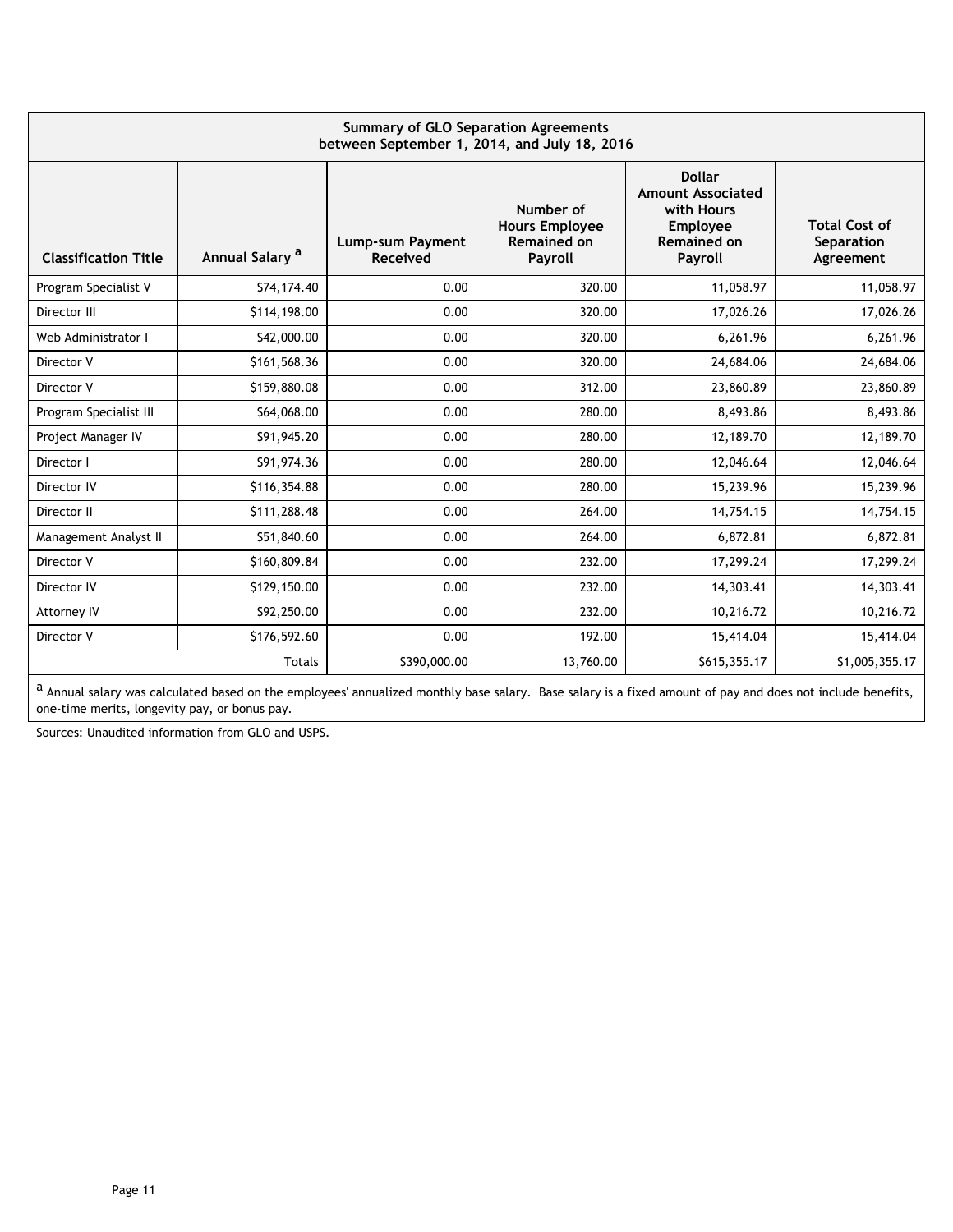| <b>Summary of GLO Separation Agreements</b><br>between September 1, 2014, and July 18, 2016 |                            |                                            |                                                                     |                                                                                                      |                                                 |  |  |  |  |  |  |
|---------------------------------------------------------------------------------------------|----------------------------|--------------------------------------------|---------------------------------------------------------------------|------------------------------------------------------------------------------------------------------|-------------------------------------------------|--|--|--|--|--|--|
| <b>Classification Title</b>                                                                 | Annual Salary <sup>a</sup> | <b>Lump-sum Payment</b><br><b>Received</b> | Number of<br><b>Hours Employee</b><br><b>Remained on</b><br>Payroll | <b>Dollar</b><br><b>Amount Associated</b><br>with Hours<br>Employee<br><b>Remained on</b><br>Payroll | <b>Total Cost of</b><br>Separation<br>Agreement |  |  |  |  |  |  |
| Program Specialist V                                                                        | \$74,174.40                | 0.00                                       | 320.00                                                              | 11,058.97                                                                                            | 11,058.97                                       |  |  |  |  |  |  |
| Director III                                                                                | \$114,198.00               | 0.00                                       | 320.00                                                              | 17,026.26                                                                                            | 17,026.26                                       |  |  |  |  |  |  |
| Web Administrator I                                                                         | \$42,000.00                | 0.00                                       | 320.00                                                              | 6,261.96                                                                                             | 6,261.96                                        |  |  |  |  |  |  |
| Director V                                                                                  | \$161,568.36               | 0.00                                       | 320.00                                                              | 24,684.06                                                                                            | 24,684.06                                       |  |  |  |  |  |  |
| Director V                                                                                  | \$159,880.08               | 0.00                                       | 312.00                                                              | 23,860.89                                                                                            | 23,860.89                                       |  |  |  |  |  |  |
| Program Specialist III                                                                      | \$64,068.00                | 0.00                                       | 280.00                                                              | 8,493.86                                                                                             | 8,493.86                                        |  |  |  |  |  |  |
| Project Manager IV                                                                          | \$91,945.20                | 0.00                                       | 280.00                                                              | 12,189.70                                                                                            | 12,189.70                                       |  |  |  |  |  |  |
| Director I                                                                                  | \$91,974.36                | 0.00                                       | 280.00                                                              | 12,046.64                                                                                            | 12,046.64                                       |  |  |  |  |  |  |
| Director IV                                                                                 | \$116,354.88               | 0.00                                       | 280.00                                                              | 15,239.96                                                                                            | 15,239.96                                       |  |  |  |  |  |  |
| Director II                                                                                 | \$111,288.48               | 0.00                                       | 264.00                                                              | 14,754.15                                                                                            | 14,754.15                                       |  |  |  |  |  |  |
| Management Analyst II                                                                       | \$51,840.60                | 0.00                                       | 264.00                                                              | 6,872.81                                                                                             | 6,872.81                                        |  |  |  |  |  |  |
| Director V                                                                                  | \$160,809.84               | 0.00                                       | 232.00                                                              | 17,299.24                                                                                            | 17,299.24                                       |  |  |  |  |  |  |
| Director IV                                                                                 | \$129,150.00               | 0.00                                       | 232.00                                                              | 14,303.41                                                                                            | 14,303.41                                       |  |  |  |  |  |  |
| Attorney IV                                                                                 | \$92,250.00                | 0.00                                       | 232.00                                                              | 10,216.72                                                                                            | 10,216.72                                       |  |  |  |  |  |  |
| Director V                                                                                  | \$176,592.60               | 0.00                                       | 192.00                                                              | 15,414.04                                                                                            | 15,414.04                                       |  |  |  |  |  |  |
|                                                                                             | <b>Totals</b>              | \$390,000.00                               | 13,760.00                                                           | \$615,355.17                                                                                         | \$1,005,355.17                                  |  |  |  |  |  |  |

a Annual salary was calculated based on the employees' annualized monthly base salary. Base salary is a fixed amount of pay and does not include benefits, one-time merits, longevity pay, or bonus pay.

Sources: Unaudited information from GLO and USPS.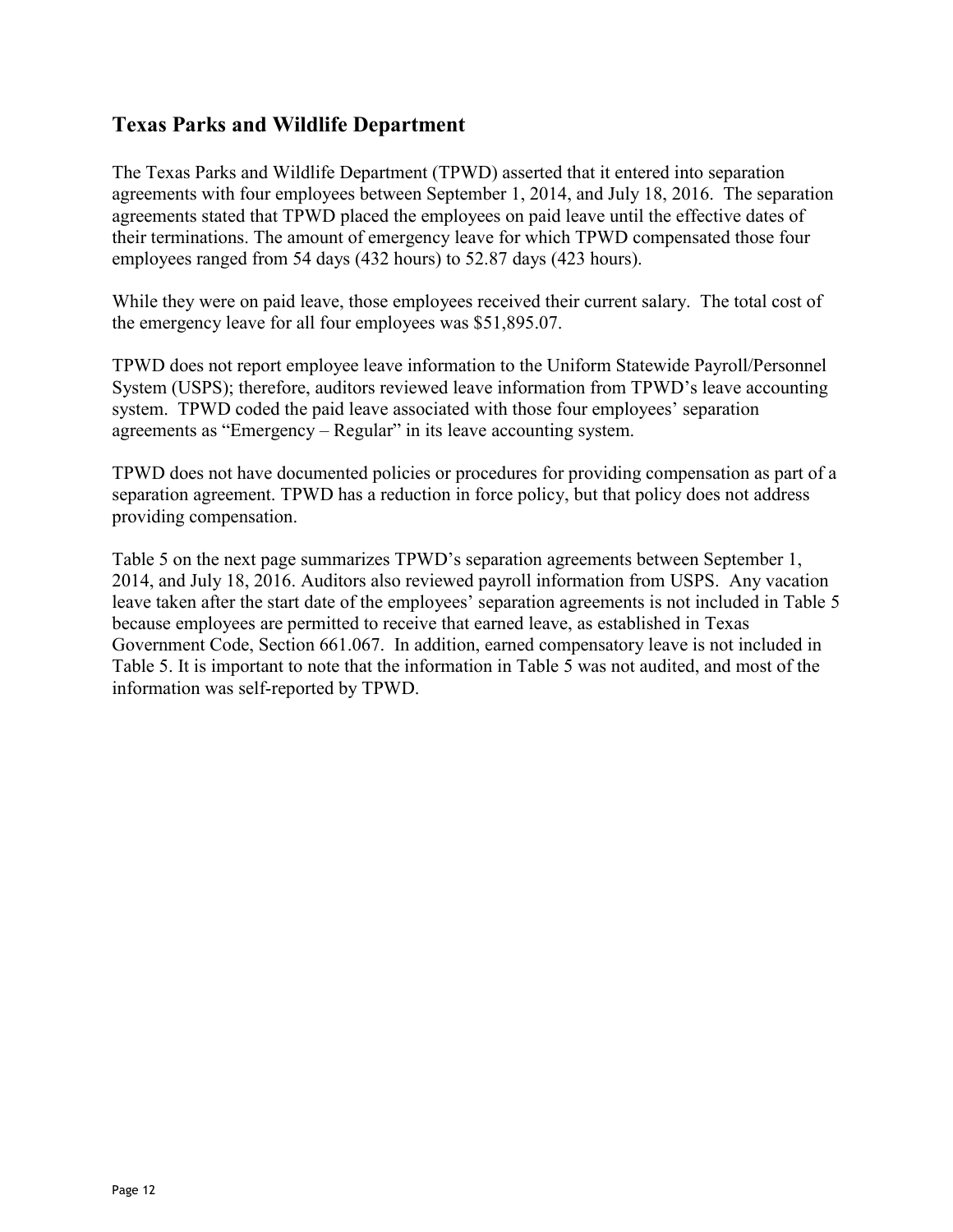### **Texas Parks and Wildlife Department**

The Texas Parks and Wildlife Department (TPWD) asserted that it entered into separation agreements with four employees between September 1, 2014, and July 18, 2016. The separation agreements stated that TPWD placed the employees on paid leave until the effective dates of their terminations. The amount of emergency leave for which TPWD compensated those four employees ranged from 54 days (432 hours) to 52.87 days (423 hours).

While they were on paid leave, those employees received their current salary. The total cost of the emergency leave for all four employees was \$51,895.07.

TPWD does not report employee leave information to the Uniform Statewide Payroll/Personnel System (USPS); therefore, auditors reviewed leave information from TPWD's leave accounting system. TPWD coded the paid leave associated with those four employees' separation agreements as "Emergency – Regular" in its leave accounting system.

TPWD does not have documented policies or procedures for providing compensation as part of a separation agreement. TPWD has a reduction in force policy, but that policy does not address providing compensation.

Table 5 on the next page summarizes TPWD's separation agreements between September 1, 2014, and July 18, 2016. Auditors also reviewed payroll information from USPS. Any vacation leave taken after the start date of the employees' separation agreements is not included in Table 5 because employees are permitted to receive that earned leave, as established in Texas Government Code, Section 661.067. In addition, earned compensatory leave is not included in Table 5. It is important to note that the information in Table 5 was not audited, and most of the information was self-reported by TPWD.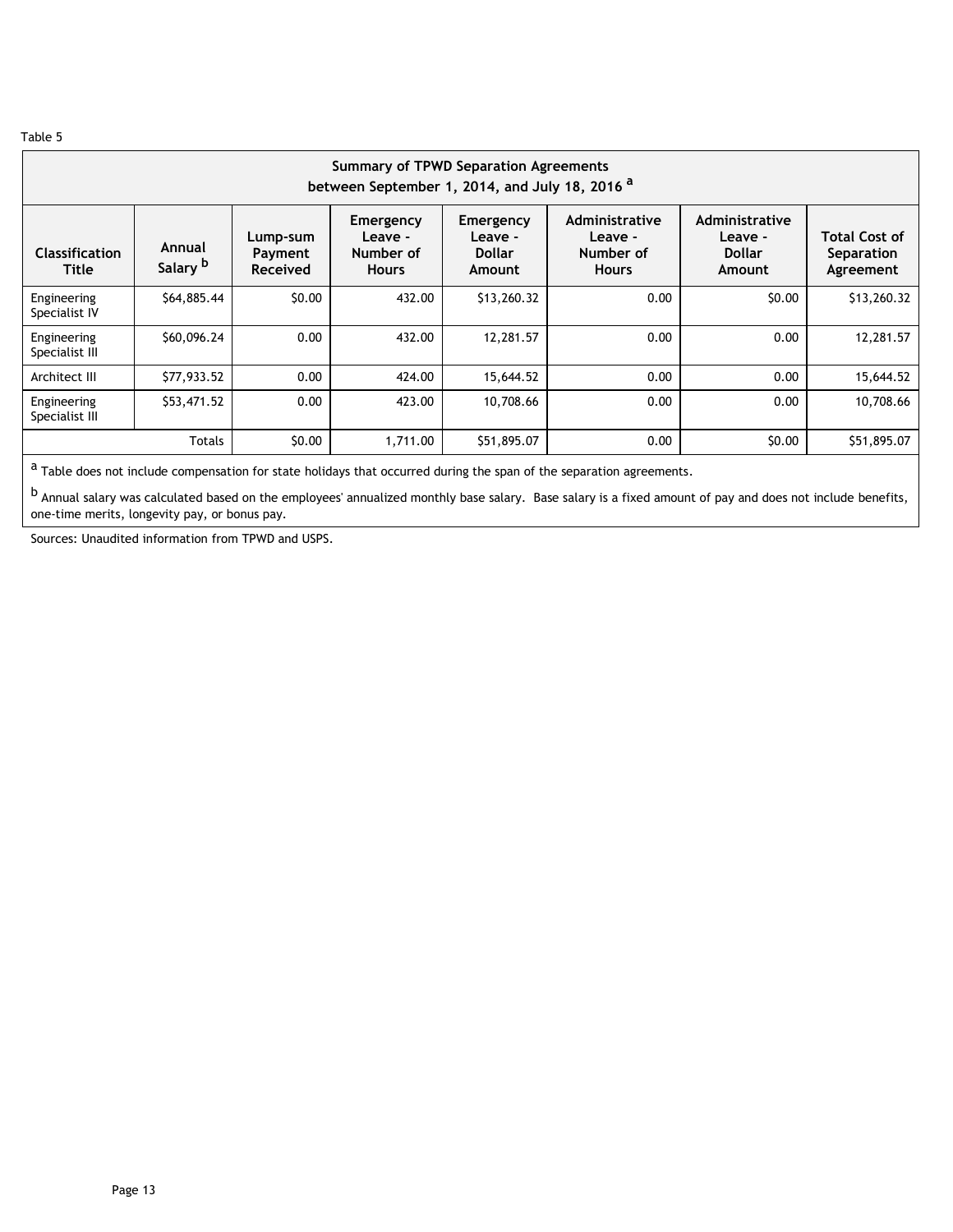| <b>Summary of TPWD Separation Agreements</b><br>between September 1, 2014, and July 18, 2016 <sup>a</sup> |                                                                                                                                                                                                                                                                                                   |        |          |             |      |        |             |  |  |  |  |  |
|-----------------------------------------------------------------------------------------------------------|---------------------------------------------------------------------------------------------------------------------------------------------------------------------------------------------------------------------------------------------------------------------------------------------------|--------|----------|-------------|------|--------|-------------|--|--|--|--|--|
| <b>Classification</b><br><b>Title</b>                                                                     | Administrative<br>Administrative<br>Emergency<br>Emergency<br>Leave -<br>Leave -<br>Leave -<br>Leave -<br>Lump-sum<br>Annual<br>Number of<br>Number of<br><b>Dollar</b><br><b>Dollar</b><br>Payment<br>Salary <sup>b</sup><br><b>Received</b><br><b>Hours</b><br><b>Hours</b><br>Amount<br>Amount |        |          |             |      |        |             |  |  |  |  |  |
| Engineering<br>Specialist IV                                                                              | \$64,885.44                                                                                                                                                                                                                                                                                       | \$0.00 | 432.00   | \$13,260.32 | 0.00 | \$0.00 | \$13,260.32 |  |  |  |  |  |
| Engineering<br>Specialist III                                                                             | \$60,096.24                                                                                                                                                                                                                                                                                       | 0.00   | 432.00   | 12,281.57   | 0.00 | 0.00   | 12,281.57   |  |  |  |  |  |
| Architect III                                                                                             | \$77,933.52                                                                                                                                                                                                                                                                                       | 0.00   | 424.00   | 15,644.52   | 0.00 | 0.00   | 15,644.52   |  |  |  |  |  |
| Engineering<br>Specialist III                                                                             | \$53,471.52                                                                                                                                                                                                                                                                                       | 0.00   | 423.00   | 10,708.66   | 0.00 | 0.00   | 10,708.66   |  |  |  |  |  |
|                                                                                                           | <b>Totals</b>                                                                                                                                                                                                                                                                                     | \$0.00 | 1,711.00 | \$51,895.07 | 0.00 | \$0.00 | \$51,895.07 |  |  |  |  |  |

 $a$  Table does not include compensation for state holidays that occurred during the span of the separation agreements.

b Annual salary was calculated based on the employees' annualized monthly base salary. Base salary is a fixed amount of pay and does not include benefits, one-time merits, longevity pay, or bonus pay.

Sources: Unaudited information from TPWD and USPS.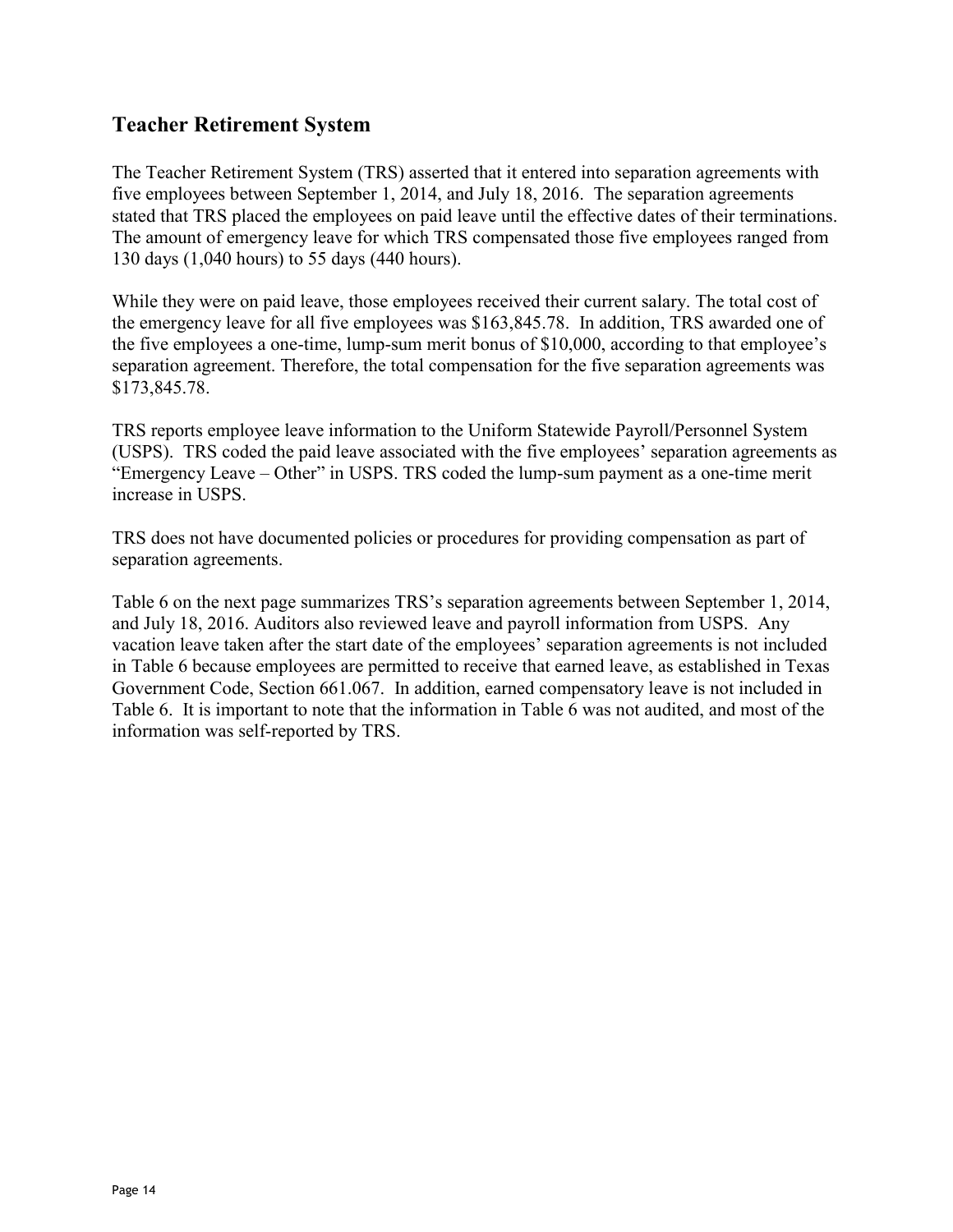## **Teacher Retirement System**

The Teacher Retirement System (TRS) asserted that it entered into separation agreements with five employees between September 1, 2014, and July 18, 2016. The separation agreements stated that TRS placed the employees on paid leave until the effective dates of their terminations. The amount of emergency leave for which TRS compensated those five employees ranged from 130 days (1,040 hours) to 55 days (440 hours).

While they were on paid leave, those employees received their current salary. The total cost of the emergency leave for all five employees was \$163,845.78. In addition, TRS awarded one of the five employees a one-time, lump-sum merit bonus of \$10,000, according to that employee's separation agreement. Therefore, the total compensation for the five separation agreements was \$173,845.78.

TRS reports employee leave information to the Uniform Statewide Payroll/Personnel System (USPS). TRS coded the paid leave associated with the five employees' separation agreements as "Emergency Leave – Other" in USPS. TRS coded the lump-sum payment as a one-time merit increase in USPS.

TRS does not have documented policies or procedures for providing compensation as part of separation agreements.

Table 6 on the next page summarizes TRS's separation agreements between September 1, 2014, and July 18, 2016. Auditors also reviewed leave and payroll information from USPS. Any vacation leave taken after the start date of the employees' separation agreements is not included in Table 6 because employees are permitted to receive that earned leave, as established in Texas Government Code, Section 661.067. In addition, earned compensatory leave is not included in Table 6. It is important to note that the information in Table 6 was not audited, and most of the information was self-reported by TRS.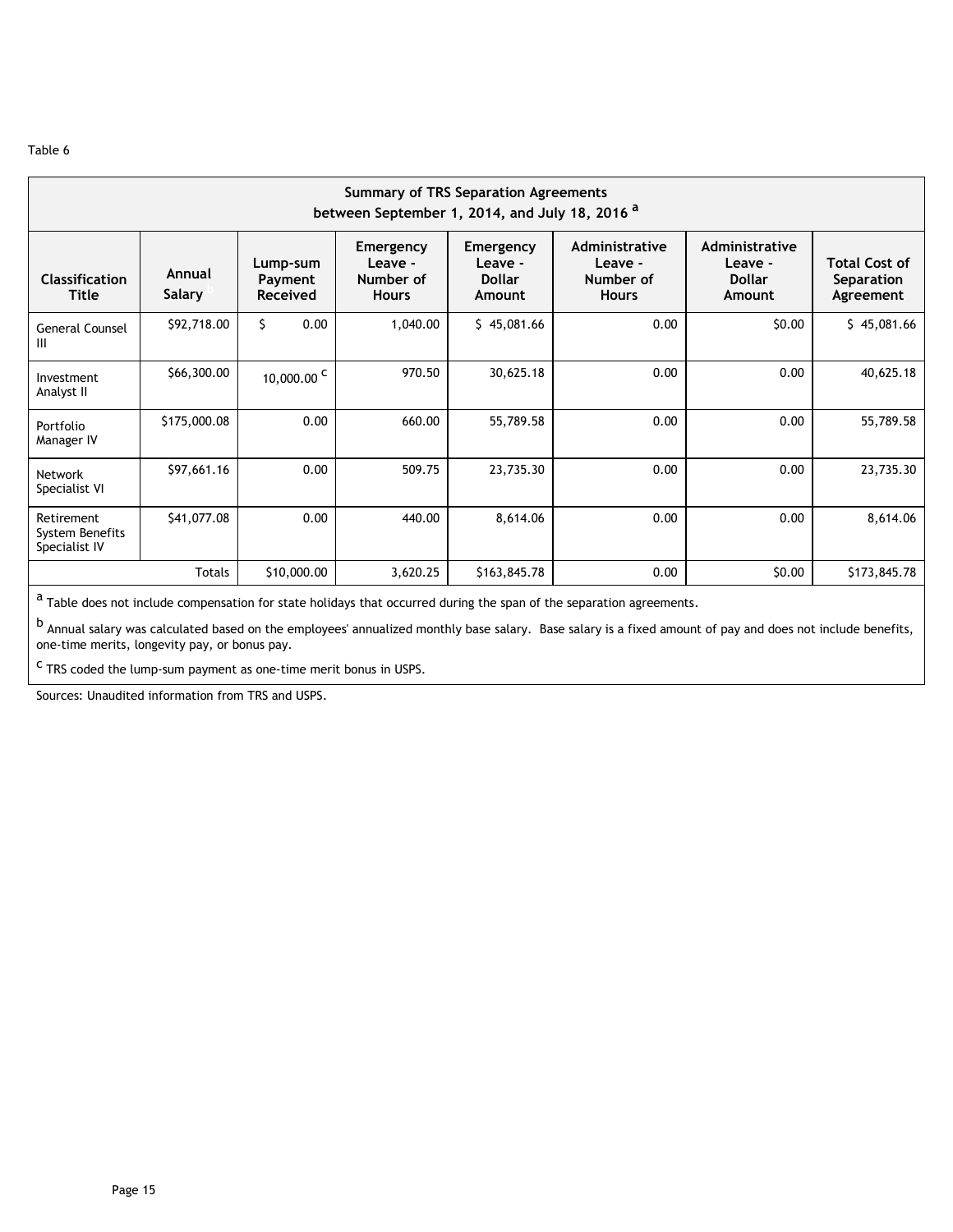| <b>Summary of TRS Separation Agreements</b><br>between September 1, 2014, and July 18, 2016 <sup>a</sup> |                  |                                        |                                                          |                                                 |                                                        |                                                      |                                                 |  |  |  |  |  |
|----------------------------------------------------------------------------------------------------------|------------------|----------------------------------------|----------------------------------------------------------|-------------------------------------------------|--------------------------------------------------------|------------------------------------------------------|-------------------------------------------------|--|--|--|--|--|
| <b>Classification</b><br><b>Title</b>                                                                    | Annual<br>Salary | Lump-sum<br>Payment<br><b>Received</b> | <b>Emergency</b><br>Leave -<br>Number of<br><b>Hours</b> | Emergency<br>Leave -<br><b>Dollar</b><br>Amount | Administrative<br>Leave -<br>Number of<br><b>Hours</b> | Administrative<br>Leave -<br><b>Dollar</b><br>Amount | <b>Total Cost of</b><br>Separation<br>Agreement |  |  |  |  |  |
| <b>General Counsel</b><br>Ш                                                                              | \$92,718.00      | Ś.<br>0.00                             | 1,040.00                                                 | \$45,081.66                                     | 0.00                                                   | \$0.00                                               | \$45,081.66                                     |  |  |  |  |  |
| Investment<br>Analyst II                                                                                 | \$66,300.00      | 10,000.00 $^{\circ}$                   | 970.50                                                   | 30,625.18                                       | 0.00                                                   | 0.00                                                 | 40,625.18                                       |  |  |  |  |  |
| Portfolio<br>Manager IV                                                                                  | \$175,000.08     | 0.00                                   | 660.00                                                   | 55,789.58                                       | 0.00                                                   | 0.00                                                 | 55,789.58                                       |  |  |  |  |  |
| <b>Network</b><br>Specialist VI                                                                          | \$97,661.16      | 0.00                                   | 509.75                                                   | 23,735.30                                       | 0.00                                                   | 0.00                                                 | 23,735.30                                       |  |  |  |  |  |
| Retirement<br>System Benefits<br>Specialist IV                                                           | \$41,077.08      | 0.00                                   | 440.00                                                   | 8,614.06                                        | 0.00                                                   | 0.00                                                 | 8,614.06                                        |  |  |  |  |  |
|                                                                                                          | <b>Totals</b>    | \$10,000.00                            | 3,620.25                                                 | \$163,845.78                                    | 0.00                                                   | \$0.00                                               | \$173,845.78                                    |  |  |  |  |  |

 $a$  Table does not include compensation for state holidays that occurred during the span of the separation agreements.

b<br>Annual salary was calculated based on the employees' annualized monthly base salary. Base salary is a fixed amount of pay and does not include benefits, one-time merits, longevity pay, or bonus pay.

<sup>c</sup> TRS coded the lump-sum payment as one-time merit bonus in USPS.

Sources: Unaudited information from TRS and USPS.